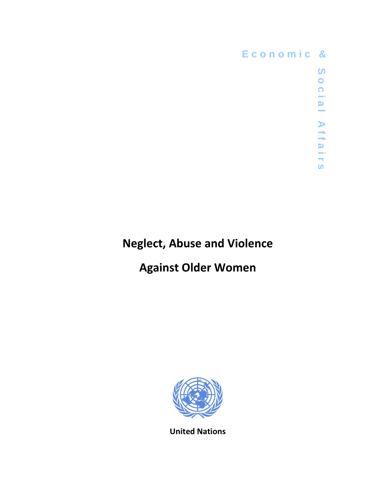

## Neglect, Abuse and Violence

# Against Older Women



United Nations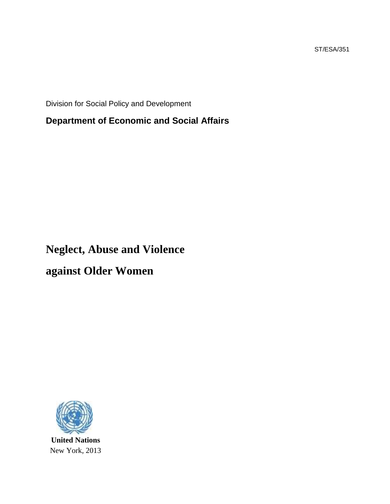ST/ESA/351

Division for Social Policy and Development

**Department of Economic and Social Affairs** 

# **Neglect, Abuse and Violence**

**against Older Women**



**United Nations**  New York, 2013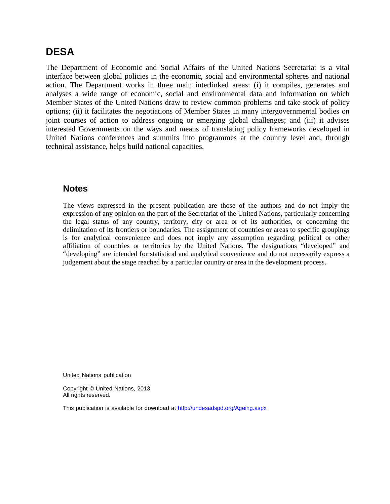### **DESA**

The Department of Economic and Social Affairs of the United Nations Secretariat is a vital interface between global policies in the economic, social and environmental spheres and national action. The Department works in three main interlinked areas: (i) it compiles, generates and analyses a wide range of economic, social and environmental data and information on which Member States of the United Nations draw to review common problems and take stock of policy options; (ii) it facilitates the negotiations of Member States in many intergovernmental bodies on joint courses of action to address ongoing or emerging global challenges; and (iii) it advises interested Governments on the ways and means of translating policy frameworks developed in United Nations conferences and summits into programmes at the country level and, through technical assistance, helps build national capacities.

#### **Notes**

The views expressed in the present publication are those of the authors and do not imply the expression of any opinion on the part of the Secretariat of the United Nations, particularly concerning the legal status of any country, territory, city or area or of its authorities, or concerning the delimitation of its frontiers or boundaries. The assignment of countries or areas to specific groupings is for analytical convenience and does not imply any assumption regarding political or other affiliation of countries or territories by the United Nations. The designations "developed" and "developing" are intended for statistical and analytical convenience and do not necessarily express a judgement about the stage reached by a particular country or area in the development process.

United Nations publication

Copyright © United Nations, 2013 All rights reserved.

This publication is available for download at http://undesadspd.org/Ageing.aspx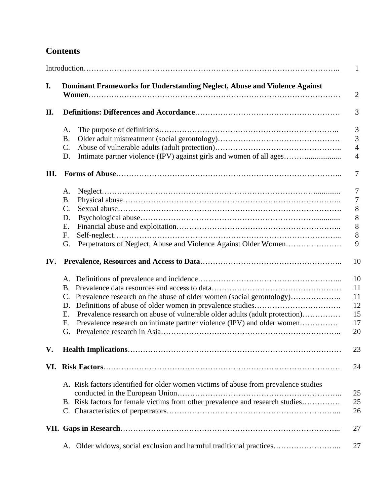## **Contents**

|      | $\mathbf{1}$                                                              |                                                                                     |                  |  |  |
|------|---------------------------------------------------------------------------|-------------------------------------------------------------------------------------|------------------|--|--|
| I.   | Dominant Frameworks for Understanding Neglect, Abuse and Violence Against |                                                                                     |                  |  |  |
| II.  |                                                                           |                                                                                     |                  |  |  |
|      | Α.                                                                        |                                                                                     | 3                |  |  |
|      | <b>B.</b>                                                                 |                                                                                     | 3                |  |  |
|      | C.                                                                        |                                                                                     | $\overline{4}$   |  |  |
|      | D.                                                                        | Intimate partner violence (IPV) against girls and women of all ages                 | $\overline{4}$   |  |  |
| III. |                                                                           |                                                                                     | 7                |  |  |
|      | Α.                                                                        |                                                                                     | 7                |  |  |
|      | <b>B.</b>                                                                 |                                                                                     | $\boldsymbol{7}$ |  |  |
|      | C.                                                                        |                                                                                     | $8\,$            |  |  |
|      | D.                                                                        |                                                                                     | 8                |  |  |
|      | Ε.                                                                        |                                                                                     | 8                |  |  |
|      | F.                                                                        |                                                                                     | $8\,$            |  |  |
|      | G.                                                                        |                                                                                     | 9                |  |  |
| IV.  |                                                                           |                                                                                     | 10               |  |  |
|      |                                                                           |                                                                                     | 10               |  |  |
|      | <b>B.</b>                                                                 |                                                                                     | 11               |  |  |
|      |                                                                           | Prevalence research on the abuse of older women (social gerontology)                | 11               |  |  |
|      | D.                                                                        |                                                                                     | 12               |  |  |
|      | E.                                                                        | Prevalence research on abuse of vulnerable older adults (adult protection)          | 15               |  |  |
|      | F.                                                                        | Prevalence research on intimate partner violence (IPV) and older women              | 17               |  |  |
|      | G.                                                                        |                                                                                     | 20               |  |  |
| V.   |                                                                           |                                                                                     | 23               |  |  |
| VI.  |                                                                           |                                                                                     | 24               |  |  |
|      |                                                                           | A. Risk factors identified for older women victims of abuse from prevalence studies | 25               |  |  |
|      |                                                                           | B. Risk factors for female victims from other prevalence and research studies       | 25               |  |  |
|      |                                                                           |                                                                                     | 26               |  |  |
|      |                                                                           |                                                                                     | 27               |  |  |
|      | А.                                                                        |                                                                                     | 27               |  |  |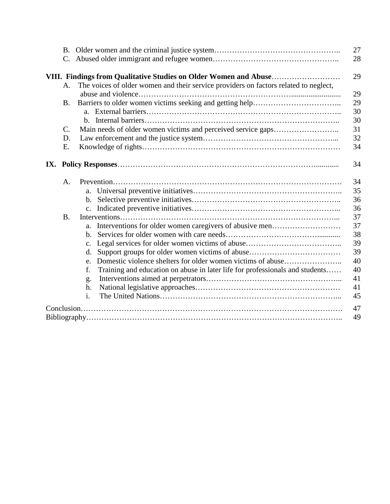|  | C.                                                                                         |                                                                                    | 28       |  |  |  |
|--|--------------------------------------------------------------------------------------------|------------------------------------------------------------------------------------|----------|--|--|--|
|  |                                                                                            |                                                                                    | 29       |  |  |  |
|  | The voices of older women and their service providers on factors related to neglect,<br>A. |                                                                                    |          |  |  |  |
|  |                                                                                            |                                                                                    |          |  |  |  |
|  | <b>B.</b>                                                                                  |                                                                                    |          |  |  |  |
|  |                                                                                            | $h_{-}$                                                                            | 30<br>30 |  |  |  |
|  | C.                                                                                         |                                                                                    | 31       |  |  |  |
|  | D.                                                                                         |                                                                                    |          |  |  |  |
|  | E.                                                                                         |                                                                                    |          |  |  |  |
|  |                                                                                            |                                                                                    | 34       |  |  |  |
|  |                                                                                            |                                                                                    |          |  |  |  |
|  | A.                                                                                         |                                                                                    |          |  |  |  |
|  |                                                                                            | a.                                                                                 | 35       |  |  |  |
|  |                                                                                            | $\mathbf{b}$ .                                                                     | 36       |  |  |  |
|  |                                                                                            |                                                                                    | 36       |  |  |  |
|  | <b>B.</b>                                                                                  |                                                                                    | 37       |  |  |  |
|  |                                                                                            | a.                                                                                 | 37       |  |  |  |
|  |                                                                                            | b.                                                                                 | 38       |  |  |  |
|  |                                                                                            | c.                                                                                 | 39       |  |  |  |
|  |                                                                                            | d.                                                                                 | 39       |  |  |  |
|  |                                                                                            | Domestic violence shelters for older women victims of abuse<br>e.                  | 40       |  |  |  |
|  |                                                                                            | Training and education on abuse in later life for professionals and students<br>f. | 40       |  |  |  |
|  |                                                                                            | g.                                                                                 | 41       |  |  |  |
|  |                                                                                            | h.                                                                                 | 41       |  |  |  |
|  |                                                                                            | i.                                                                                 | 45       |  |  |  |
|  |                                                                                            |                                                                                    | 47       |  |  |  |
|  |                                                                                            |                                                                                    | 49       |  |  |  |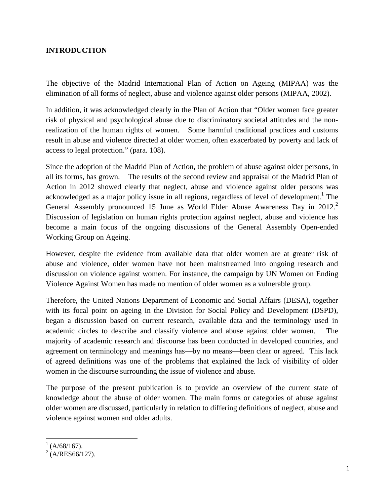#### **INTRODUCTION**

The objective of the Madrid International Plan of Action on Ageing (MIPAA) was the elimination of all forms of neglect, abuse and violence against older persons (MIPAA, 2002).

In addition, it was acknowledged clearly in the Plan of Action that "Older women face greater risk of physical and psychological abuse due to discriminatory societal attitudes and the nonrealization of the human rights of women. Some harmful traditional practices and customs result in abuse and violence directed at older women, often exacerbated by poverty and lack of access to legal protection." (para. 108).

Since the adoption of the Madrid Plan of Action, the problem of abuse against older persons, in all its forms, has grown. The results of the second review and appraisal of the Madrid Plan of Action in 2012 showed clearly that neglect, abuse and violence against older persons was acknowledged as a major policy issue in all regions, regardless of level of development.<sup>1</sup> The General Assembly pronounced 15 June as World Elder Abuse Awareness Day in  $2012$ .<sup>2</sup> Discussion of legislation on human rights protection against neglect, abuse and violence has become a main focus of the ongoing discussions of the General Assembly Open-ended Working Group on Ageing.

However, despite the evidence from available data that older women are at greater risk of abuse and violence, older women have not been mainstreamed into ongoing research and discussion on violence against women. For instance, the campaign by UN Women on Ending Violence Against Women has made no mention of older women as a vulnerable group.

Therefore, the United Nations Department of Economic and Social Affairs (DESA), together with its focal point on ageing in the Division for Social Policy and Development (DSPD), began a discussion based on current research, available data and the terminology used in academic circles to describe and classify violence and abuse against older women. The majority of academic research and discourse has been conducted in developed countries, and agreement on terminology and meanings has—by no means—been clear or agreed. This lack of agreed definitions was one of the problems that explained the lack of visibility of older women in the discourse surrounding the issue of violence and abuse.

The purpose of the present publication is to provide an overview of the current state of knowledge about the abuse of older women. The main forms or categories of abuse against older women are discussed, particularly in relation to differing definitions of neglect, abuse and violence against women and older adults.

<sup>1&</sup>lt;br><sup>1</sup> (A/68/167).<br><sup>2</sup> (A/RES66/127).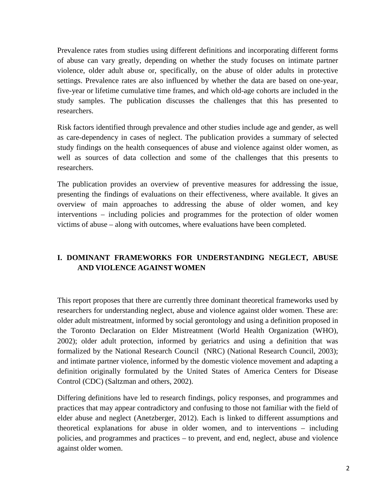Prevalence rates from studies using different definitions and incorporating different forms of abuse can vary greatly, depending on whether the study focuses on intimate partner violence, older adult abuse or, specifically, on the abuse of older adults in protective settings. Prevalence rates are also influenced by whether the data are based on one-year, five-year or lifetime cumulative time frames, and which old-age cohorts are included in the study samples. The publication discusses the challenges that this has presented to researchers.

Risk factors identified through prevalence and other studies include age and gender, as well as care-dependency in cases of neglect. The publication provides a summary of selected study findings on the health consequences of abuse and violence against older women, as well as sources of data collection and some of the challenges that this presents to researchers.

The publication provides an overview of preventive measures for addressing the issue, presenting the findings of evaluations on their effectiveness, where available. It gives an overview of main approaches to addressing the abuse of older women, and key interventions – including policies and programmes for the protection of older women victims of abuse – along with outcomes, where evaluations have been completed.

#### **I. DOMINANT FRAMEWORKS FOR UNDERSTANDING NEGLECT, ABUSE AND VIOLENCE AGAINST WOMEN**

This report proposes that there are currently three dominant theoretical frameworks used by researchers for understanding neglect, abuse and violence against older women. These are: older adult mistreatment, informed by social gerontology and using a definition proposed in the Toronto Declaration on Elder Mistreatment (World Health Organization (WHO), 2002); older adult protection, informed by geriatrics and using a definition that was formalized by the National Research Council (NRC) (National Research Council, 2003); and intimate partner violence, informed by the domestic violence movement and adapting a definition originally formulated by the United States of America Centers for Disease Control (CDC) (Saltzman and others, 2002).

Differing definitions have led to research findings, policy responses, and programmes and practices that may appear contradictory and confusing to those not familiar with the field of elder abuse and neglect (Anetzberger, 2012). Each is linked to different assumptions and theoretical explanations for abuse in older women, and to interventions – including policies, and programmes and practices – to prevent, and end, neglect, abuse and violence against older women.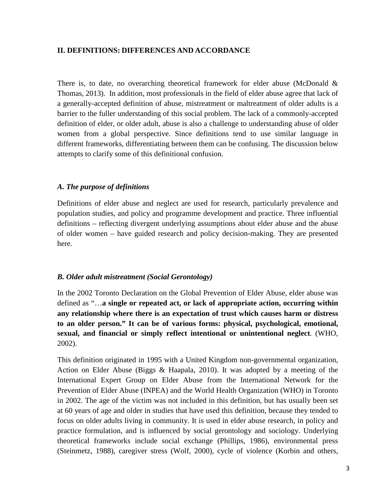#### **II. DEFINITIONS: DIFFERENCES AND ACCORDANCE**

There is, to date, no overarching theoretical framework for elder abuse (McDonald & Thomas, 2013). In addition, most professionals in the field of elder abuse agree that lack of a generally-accepted definition of abuse, mistreatment or maltreatment of older adults is a barrier to the fuller understanding of this social problem. The lack of a commonly-accepted definition of elder, or older adult, abuse is also a challenge to understanding abuse of older women from a global perspective. Since definitions tend to use similar language in different frameworks, differentiating between them can be confusing. The discussion below attempts to clarify some of this definitional confusion.

#### *A. The purpose of definitions*

Definitions of elder abuse and neglect are used for research, particularly prevalence and population studies, and policy and programme development and practice. Three influential definitions – reflecting divergent underlying assumptions about elder abuse and the abuse of older women – have guided research and policy decision-making. They are presented here.

#### *B. Older adult mistreatment (Social Gerontology)*

In the 2002 Toronto Declaration on the Global Prevention of Elder Abuse, elder abuse was defined as "…**a single or repeated act, or lack of appropriate action, occurring within any relationship where there is an expectation of trust which causes harm or distress to an older person." It can be of various forms: physical, psychological, emotional, sexual, and financial or simply reflect intentional or unintentional neglect***.* (WHO, 2002).

This definition originated in 1995 with a United Kingdom non-governmental organization, Action on Elder Abuse (Biggs & Haapala, 2010). It was adopted by a meeting of the International Expert Group on Elder Abuse from the International Network for the Prevention of Elder Abuse (INPEA) and the World Health Organization (WHO) in Toronto in 2002. The age of the victim was not included in this definition, but has usually been set at 60 years of age and older in studies that have used this definition, because they tended to focus on older adults living in community. It is used in elder abuse research, in policy and practice formulation, and is influenced by social gerontology and sociology. Underlying theoretical frameworks include social exchange (Phillips, 1986), environmental press (Steinmetz, 1988), caregiver stress (Wolf, 2000), cycle of violence (Korbin and others,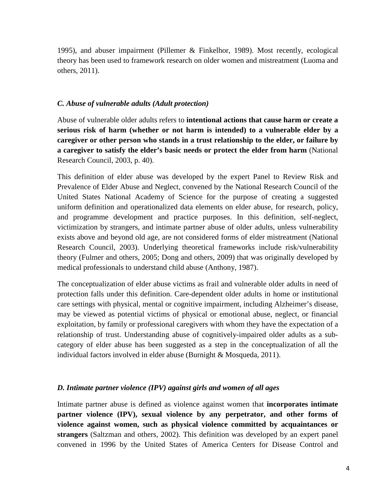1995), and abuser impairment (Pillemer & Finkelhor, 1989). Most recently, ecological theory has been used to framework research on older women and mistreatment (Luoma and others, 2011).

#### *C. Abuse of vulnerable adults (Adult protection)*

Abuse of vulnerable older adults refers to **intentional actions that cause harm or create a serious risk of harm (whether or not harm is intended) to a vulnerable elder by a caregiver or other person who stands in a trust relationship to the elder, or failure by a caregiver to satisfy the elder's basic needs or protect the elder from harm** (National Research Council, 2003, p. 40).

This definition of elder abuse was developed by the expert Panel to Review Risk and Prevalence of Elder Abuse and Neglect, convened by the National Research Council of the United States National Academy of Science for the purpose of creating a suggested uniform definition and operationalized data elements on elder abuse, for research, policy, and programme development and practice purposes. In this definition, self-neglect, victimization by strangers, and intimate partner abuse of older adults, unless vulnerability exists above and beyond old age, are not considered forms of elder mistreatment (National Research Council, 2003). Underlying theoretical frameworks include risk/vulnerability theory (Fulmer and others, 2005; Dong and others, 2009) that was originally developed by medical professionals to understand child abuse (Anthony, 1987).

The conceptualization of elder abuse victims as frail and vulnerable older adults in need of protection falls under this definition. Care-dependent older adults in home or institutional care settings with physical, mental or cognitive impairment, including Alzheimer's disease, may be viewed as potential victims of physical or emotional abuse, neglect, or financial exploitation, by family or professional caregivers with whom they have the expectation of a relationship of trust. Understanding abuse of cognitively-impaired older adults as a subcategory of elder abuse has been suggested as a step in the conceptualization of all the individual factors involved in elder abuse (Burnight & Mosqueda, 2011).

#### *D. Intimate partner violence (IPV) against girls and women of all ages*

Intimate partner abuse is defined as violence against women that **incorporates intimate partner violence (IPV), sexual violence by any perpetrator, and other forms of violence against women, such as physical violence committed by acquaintances or strangers** (Saltzman and others, 2002). This definition was developed by an expert panel convened in 1996 by the United States of America Centers for Disease Control and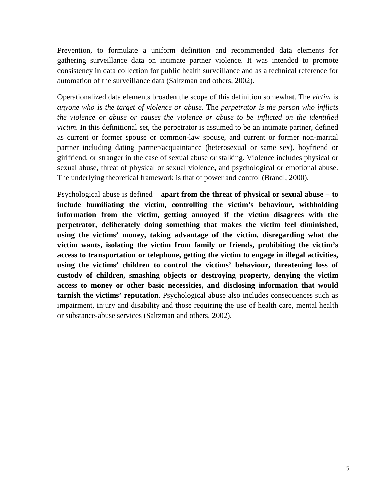Prevention, to formulate a uniform definition and recommended data elements for gathering surveillance data on intimate partner violence. It was intended to promote consistency in data collection for public health surveillance and as a technical reference for automation of the surveillance data (Saltzman and others, 2002).

Operationalized data elements broaden the scope of this definition somewhat. The *victim* is *anyone who is the target of violence or abuse*. The *perpetrator is the person who inflicts the violence or abuse or causes the violence or abuse to be inflicted on the identified victim*. In this definitional set, the perpetrator is assumed to be an intimate partner, defined as current or former spouse or common-law spouse, and current or former non-marital partner including dating partner/acquaintance (heterosexual or same sex), boyfriend or girlfriend, or stranger in the case of sexual abuse or stalking. Violence includes physical or sexual abuse, threat of physical or sexual violence, and psychological or emotional abuse. The underlying theoretical framework is that of power and control (Brandl, 2000).

Psychological abuse is defined – **apart from the threat of physical or sexual abuse – to include humiliating the victim, controlling the victim's behaviour, withholding information from the victim, getting annoyed if the victim disagrees with the perpetrator, deliberately doing something that makes the victim feel diminished, using the victims' money, taking advantage of the victim, disregarding what the victim wants, isolating the victim from family or friends, prohibiting the victim's access to transportation or telephone, getting the victim to engage in illegal activities, using the victims' children to control the victims' behaviour, threatening loss of custody of children, smashing objects or destroying property, denying the victim access to money or other basic necessities, and disclosing information that would tarnish the victims' reputation**. Psychological abuse also includes consequences such as impairment, injury and disability and those requiring the use of health care, mental health or substance-abuse services (Saltzman and others, 2002).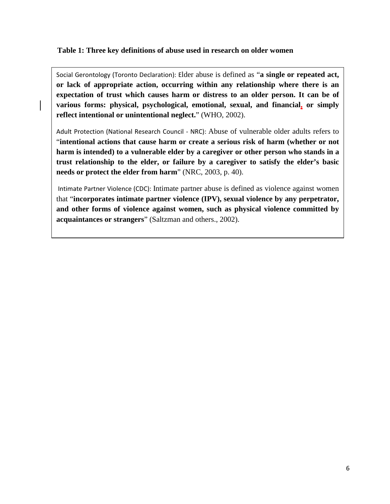#### **Table 1: Three key definitions of abuse used in research on older women**

Social Gerontology (Toronto Declaration): Elder abuse is defined as "**a single or repeated act, or lack of appropriate action, occurring within any relationship where there is an expectation of trust which causes harm or distress to an older person. It can be of various forms: physical, psychological, emotional, sexual, and financial, or simply reflect intentional or unintentional neglect.**" (WHO, 2002).

Adult Protection (National Research Council - NRC): Abuse of vulnerable older adults refers to "**intentional actions that cause harm or create a serious risk of harm (whether or not harm is intended) to a vulnerable elder by a caregiver or other person who stands in a trust relationship to the elder, or failure by a caregiver to satisfy the elder's basic needs or protect the elder from harm**" (NRC, 2003, p. 40).

 Intimate Partner Violence (CDC): Intimate partner abuse is defined as violence against women that "**incorporates intimate partner violence (IPV), sexual violence by any perpetrator, and other forms of violence against women, such as physical violence committed by acquaintances or strangers**" (Saltzman and others., 2002).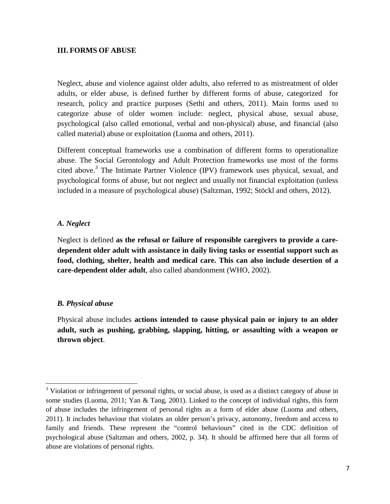#### **III. FORMS OF ABUSE**

Neglect, abuse and violence against older adults, also referred to as mistreatment of older adults, or elder abuse, is defined further by different forms of abuse, categorized for research, policy and practice purposes (Sethi and others, 2011). Main forms used to categorize abuse of older women include: neglect, physical abuse, sexual abuse, psychological (also called emotional, verbal and non-physical) abuse, and financial (also called material) abuse or exploitation (Luoma and others, 2011).

Different conceptual frameworks use a combination of different forms to operationalize abuse. The Social Gerontology and Adult Protection frameworks use most of the forms cited above.<sup>3</sup> The Intimate Partner Violence (IPV) framework uses physical, sexual, and psychological forms of abuse, but not neglect and usually not financial exploitation (unless included in a measure of psychological abuse) (Saltzman, 1992; Stöckl and others, 2012).

#### *A. Neglect*

Neglect is defined **as the refusal or failure of responsible caregivers to provide a caredependent older adult with assistance in daily living tasks or essential support such as food, clothing, shelter, health and medical care. This can also include desertion of a care-dependent older adult**, also called abandonment (WHO, 2002).

#### *B. Physical abuse*

<u>.</u>

Physical abuse includes **actions intended to cause physical pain or injury to an older adult, such as pushing, grabbing, slapping, hitting, or assaulting with a weapon or thrown object**.

<sup>&</sup>lt;sup>3</sup> Violation or infringement of personal rights, or social abuse, is used as a distinct category of abuse in some studies (Luoma, 2011; Yan & Tang, 2001). Linked to the concept of individual rights, this form of abuse includes the infringement of personal rights as a form of elder abuse (Luoma and others, 2011). It includes behaviour that violates an older person's privacy, autonomy, freedom and access to family and friends. These represent the "control behaviours" cited in the CDC definition of psychological abuse (Saltzman and others, 2002, p. 34). It should be affirmed here that all forms of abuse are violations of personal rights.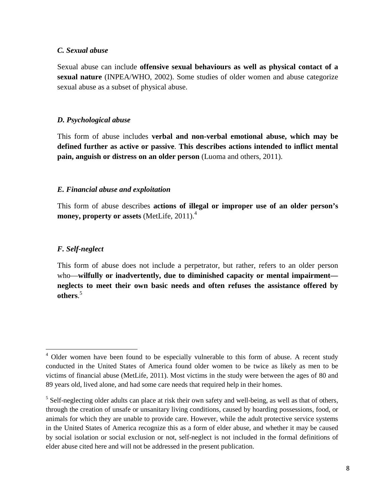#### *C. Sexual abuse*

Sexual abuse can include **offensive sexual behaviours as well as physical contact of a sexual nature** (INPEA/WHO, 2002). Some studies of older women and abuse categorize sexual abuse as a subset of physical abuse.

#### *D. Psychological abuse*

This form of abuse includes **verbal and non-verbal emotional abuse, which may be defined further as active or passive**. **This describes actions intended to inflict mental pain, anguish or distress on an older person** (Luoma and others, 2011).

#### *E. Financial abuse and exploitation*

This form of abuse describes **actions of illegal or improper use of an older person's money, property or assets** (MetLife, 2011).<sup>4</sup>

#### *F. Self-neglect*

<u>.</u>

This form of abuse does not include a perpetrator, but rather, refers to an older person who—**wilfully or inadvertently, due to diminished capacity or mental impairment neglects to meet their own basic needs and often refuses the assistance offered by others**. 5

<sup>&</sup>lt;sup>4</sup> Older women have been found to be especially vulnerable to this form of abuse. A recent study conducted in the United States of America found older women to be twice as likely as men to be victims of financial abuse (MetLife, 2011). Most victims in the study were between the ages of 80 and 89 years old, lived alone, and had some care needs that required help in their homes.

<sup>&</sup>lt;sup>5</sup> Self-neglecting older adults can place at risk their own safety and well-being, as well as that of others, through the creation of unsafe or unsanitary living conditions, caused by hoarding possessions, food, or animals for which they are unable to provide care. However, while the adult protective service systems in the United States of America recognize this as a form of elder abuse, and whether it may be caused by social isolation or social exclusion or not, self-neglect is not included in the formal definitions of elder abuse cited here and will not be addressed in the present publication.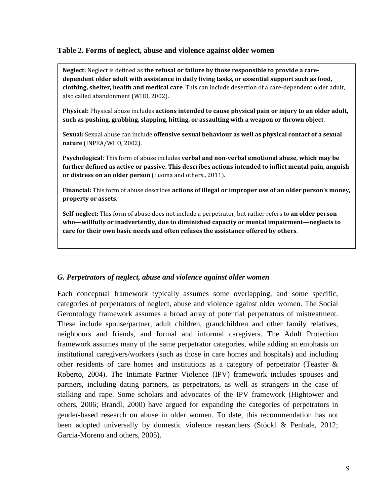#### **Table 2. Forms of neglect, abuse and violence against older women**

Neglect: Neglect is defined as the refusal or failure by those responsible to provide a caredependent older adult with assistance in daily living tasks, or essential support such as food, clothing, shelter, health and medical care. This can include desertion of a care-dependent older adult, also called abandonment (WHO, 2002).

Physical: Physical abuse includes actions intended to cause physical pain or injury to an older adult, such as pushing, grabbing, slapping, hitting, or assaulting with a weapon or thrown object.

Sexual: Sexual abuse can include offensive sexual behaviour as well as physical contact of a sexual nature (INPEA/WHO, 2002).

Psychological: This form of abuse includes verbal and non-verbal emotional abuse, which may be further defined as active or passive. This describes actions intended to inflict mental pain, anguish or distress on an older person (Luoma and others., 2011).

Financial: This form of abuse describes actions of illegal or improper use of an older person's money, property or assets.

Self-neglect: This form of abuse does not include a perpetrator, but rather refers to an older person who—willfully or inadvertently, due to diminished capacity or mental impairment—neglects to care for their own basic needs and often refuses the assistance offered by others.

#### *G. Perpetrators of neglect, abuse and violence against older women*

Each conceptual framework typically assumes some overlapping, and some specific, categories of perpetrators of neglect, abuse and violence against older women. The Social Gerontology framework assumes a broad array of potential perpetrators of mistreatment. These include spouse/partner, adult children, grandchildren and other family relatives, neighbours and friends, and formal and informal caregivers. The Adult Protection framework assumes many of the same perpetrator categories, while adding an emphasis on institutional caregivers/workers (such as those in care homes and hospitals) and including other residents of care homes and institutions as a category of perpetrator (Teaster & Roberto, 2004). The Intimate Partner Violence (IPV) framework includes spouses and partners, including dating partners, as perpetrators, as well as strangers in the case of stalking and rape. Some scholars and advocates of the IPV framework (Hightower and others, 2006; Brandl, 2000) have argued for expanding the categories of perpetrators in gender-based research on abuse in older women. To date, this recommendation has not been adopted universally by domestic violence researchers (Stöckl & Penhale, 2012; Garcia-Moreno and others, 2005).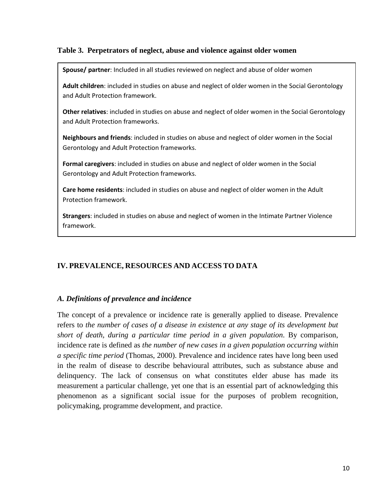#### **Table 3. Perpetrators of neglect, abuse and violence against older women**

Spouse/ partner: Included in all studies reviewed on neglect and abuse of older women

Adult children: included in studies on abuse and neglect of older women in the Social Gerontology and Adult Protection framework.

Other relatives: included in studies on abuse and neglect of older women in the Social Gerontology and Adult Protection frameworks.

Neighbours and friends: included in studies on abuse and neglect of older women in the Social Gerontology and Adult Protection frameworks.

Formal caregivers: included in studies on abuse and neglect of older women in the Social Gerontology and Adult Protection frameworks.

Care home residents: included in studies on abuse and neglect of older women in the Adult Protection framework.

Strangers: included in studies on abuse and neglect of women in the Intimate Partner Violence framework.

#### **IV. PREVALENCE, RESOURCES AND ACCESS TO DATA**

#### *A. Definitions of prevalence and incidence*

The concept of a prevalence or incidence rate is generally applied to disease. Prevalence refers to *the number of cases of a disease in existence at any stage of its development but short of death, during a particular time period in a given population*. By comparison, incidence rate is defined as *the number of new cases in a given population occurring within a specific time period* (Thomas, 2000). Prevalence and incidence rates have long been used in the realm of disease to describe behavioural attributes, such as substance abuse and delinquency. The lack of consensus on what constitutes elder abuse has made its measurement a particular challenge, yet one that is an essential part of acknowledging this phenomenon as a significant social issue for the purposes of problem recognition, policymaking, programme development, and practice.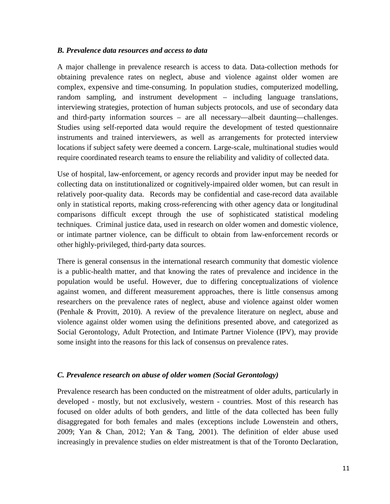#### *B. Prevalence data resources and access to data*

A major challenge in prevalence research is access to data. Data-collection methods for obtaining prevalence rates on neglect, abuse and violence against older women are complex, expensive and time-consuming. In population studies, computerized modelling, random sampling, and instrument development – including language translations, interviewing strategies, protection of human subjects protocols, and use of secondary data and third-party information sources – are all necessary—albeit daunting—challenges. Studies using self-reported data would require the development of tested questionnaire instruments and trained interviewers, as well as arrangements for protected interview locations if subject safety were deemed a concern. Large-scale, multinational studies would require coordinated research teams to ensure the reliability and validity of collected data.

Use of hospital, law-enforcement, or agency records and provider input may be needed for collecting data on institutionalized or cognitively-impaired older women, but can result in relatively poor-quality data. Records may be confidential and case-record data available only in statistical reports, making cross-referencing with other agency data or longitudinal comparisons difficult except through the use of sophisticated statistical modeling techniques. Criminal justice data, used in research on older women and domestic violence, or intimate partner violence, can be difficult to obtain from law-enforcement records or other highly-privileged, third-party data sources.

There is general consensus in the international research community that domestic violence is a public-health matter, and that knowing the rates of prevalence and incidence in the population would be useful. However, due to differing conceptualizations of violence against women, and different measurement approaches, there is little consensus among researchers on the prevalence rates of neglect, abuse and violence against older women (Penhale & Provitt, 2010). A review of the prevalence literature on neglect, abuse and violence against older women using the definitions presented above, and categorized as Social Gerontology, Adult Protection, and Intimate Partner Violence (IPV), may provide some insight into the reasons for this lack of consensus on prevalence rates.

#### *C. Prevalence research on abuse of older women (Social Gerontology)*

Prevalence research has been conducted on the mistreatment of older adults, particularly in developed - mostly, but not exclusively, western - countries. Most of this research has focused on older adults of both genders, and little of the data collected has been fully disaggregated for both females and males (exceptions include Lowenstein and others, 2009; Yan & Chan, 2012; Yan & Tang, 2001). The definition of elder abuse used increasingly in prevalence studies on elder mistreatment is that of the Toronto Declaration,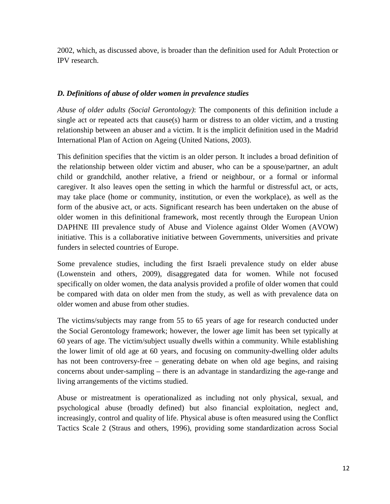2002, which, as discussed above, is broader than the definition used for Adult Protection or IPV research.

#### *D. Definitions of abuse of older women in prevalence studies*

*Abuse of older adults (Social Gerontology)*: The components of this definition include a single act or repeated acts that cause(s) harm or distress to an older victim, and a trusting relationship between an abuser and a victim. It is the implicit definition used in the Madrid International Plan of Action on Ageing (United Nations, 2003).

This definition specifies that the victim is an older person. It includes a broad definition of the relationship between older victim and abuser, who can be a spouse/partner, an adult child or grandchild, another relative, a friend or neighbour, or a formal or informal caregiver. It also leaves open the setting in which the harmful or distressful act, or acts, may take place (home or community, institution, or even the workplace), as well as the form of the abusive act, or acts. Significant research has been undertaken on the abuse of older women in this definitional framework, most recently through the European Union DAPHNE III prevalence study of Abuse and Violence against Older Women (AVOW) initiative. This is a collaborative initiative between Governments, universities and private funders in selected countries of Europe.

Some prevalence studies, including the first Israeli prevalence study on elder abuse (Lowenstein and others, 2009), disaggregated data for women. While not focused specifically on older women, the data analysis provided a profile of older women that could be compared with data on older men from the study, as well as with prevalence data on older women and abuse from other studies.

The victims/subjects may range from 55 to 65 years of age for research conducted under the Social Gerontology framework; however, the lower age limit has been set typically at 60 years of age. The victim/subject usually dwells within a community. While establishing the lower limit of old age at 60 years, and focusing on community-dwelling older adults has not been controversy-free – generating debate on when old age begins, and raising concerns about under-sampling – there is an advantage in standardizing the age-range and living arrangements of the victims studied.

Abuse or mistreatment is operationalized as including not only physical, sexual, and psychological abuse (broadly defined) but also financial exploitation, neglect and, increasingly, control and quality of life. Physical abuse is often measured using the Conflict Tactics Scale 2 (Straus and others, 1996), providing some standardization across Social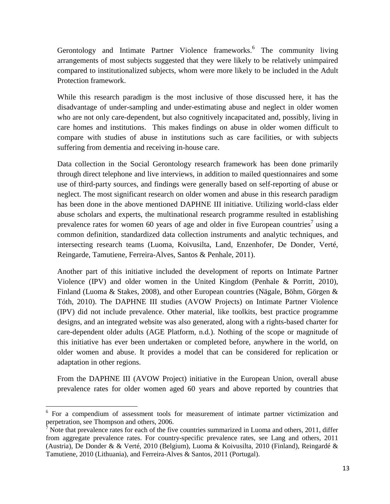Gerontology and Intimate Partner Violence frameworks.<sup>6</sup> The community living arrangements of most subjects suggested that they were likely to be relatively unimpaired compared to institutionalized subjects, whom were more likely to be included in the Adult Protection framework.

While this research paradigm is the most inclusive of those discussed here, it has the disadvantage of under-sampling and under-estimating abuse and neglect in older women who are not only care-dependent, but also cognitively incapacitated and, possibly, living in care homes and institutions. This makes findings on abuse in older women difficult to compare with studies of abuse in institutions such as care facilities, or with subjects suffering from dementia and receiving in-house care.

Data collection in the Social Gerontology research framework has been done primarily through direct telephone and live interviews, in addition to mailed questionnaires and some use of third-party sources, and findings were generally based on self-reporting of abuse or neglect. The most significant research on older women and abuse in this research paradigm has been done in the above mentioned DAPHNE III initiative. Utilizing world-class elder abuse scholars and experts, the multinational research programme resulted in establishing prevalence rates for women 60 years of age and older in five European countries<sup>7</sup> using a common definition, standardized data collection instruments and analytic techniques, and intersecting research teams (Luoma, Koivusilta, Land, Enzenhofer, De Donder, Verté, Reingarde, Tamutiene, Ferreira-Alves, Santos & Penhale, 2011).

Another part of this initiative included the development of reports on Intimate Partner Violence (IPV) and older women in the United Kingdom (Penhale & Porritt, 2010), Finland (Luoma & Stakes, 2008), and other European countries (Nägale, Böhm, Görgen & Tóth, 2010). The DAPHNE III studies (AVOW Projects) on Intimate Partner Violence (IPV) did not include prevalence. Other material, like toolkits, best practice programme designs, and an integrated website was also generated, along with a rights-based charter for care-dependent older adults (AGE Platform, n.d.). Nothing of the scope or magnitude of this initiative has ever been undertaken or completed before, anywhere in the world, on older women and abuse. It provides a model that can be considered for replication or adaptation in other regions.

From the DAPHNE III (AVOW Project) initiative in the European Union, overall abuse prevalence rates for older women aged 60 years and above reported by countries that

<u>.</u>

<sup>&</sup>lt;sup>6</sup> For a compendium of assessment tools for measurement of intimate partner victimization and perpetration, see Thompson and others, 2006.

 $\sqrt{7}$  Note that prevalence rates for each of the five countries summarized in Luoma and others, 2011, differ from aggregate prevalence rates. For country-specific prevalence rates, see Lang and others, 2011 (Austria), De Donder & & Verté, 2010 (Belgium), Luoma & Koivusilta, 2010 (Finland), Reingardé & Tamutiene, 2010 (Lithuania), and Ferreira-Alves & Santos, 2011 (Portugal).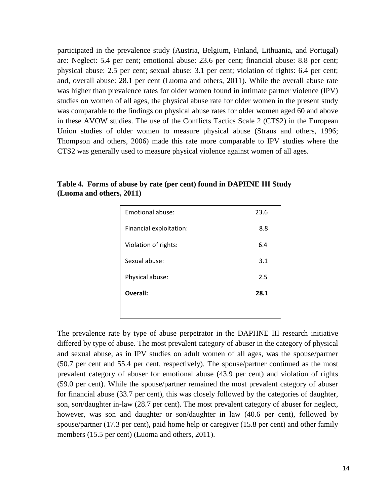participated in the prevalence study (Austria, Belgium, Finland, Lithuania, and Portugal) are: Neglect: 5.4 per cent; emotional abuse: 23.6 per cent; financial abuse: 8.8 per cent; physical abuse: 2.5 per cent; sexual abuse: 3.1 per cent; violation of rights: 6.4 per cent; and, overall abuse: 28.1 per cent (Luoma and others, 2011). While the overall abuse rate was higher than prevalence rates for older women found in intimate partner violence (IPV) studies on women of all ages, the physical abuse rate for older women in the present study was comparable to the findings on physical abuse rates for older women aged 60 and above in these AVOW studies. The use of the Conflicts Tactics Scale 2 (CTS2) in the European Union studies of older women to measure physical abuse (Straus and others, 1996; Thompson and others, 2006) made this rate more comparable to IPV studies where the CTS2 was generally used to measure physical violence against women of all ages.

| Emotional abuse:        | 23.6 |
|-------------------------|------|
| Financial exploitation: | 8.8  |
| Violation of rights:    | 6.4  |
| Sexual abuse:           | 3.1  |
| Physical abuse:         | 2.5  |
| Overall:                | 28.1 |
|                         |      |

**Table 4. Forms of abuse by rate (per cent) found in DAPHNE III Study (Luoma and others, 2011)** 

The prevalence rate by type of abuse perpetrator in the DAPHNE III research initiative differed by type of abuse. The most prevalent category of abuser in the category of physical and sexual abuse, as in IPV studies on adult women of all ages, was the spouse/partner (50.7 per cent and 55.4 per cent, respectively). The spouse/partner continued as the most prevalent category of abuser for emotional abuse (43.9 per cent) and violation of rights (59.0 per cent). While the spouse/partner remained the most prevalent category of abuser for financial abuse (33.7 per cent), this was closely followed by the categories of daughter, son, son/daughter in-law (28.7 per cent). The most prevalent category of abuser for neglect, however, was son and daughter or son/daughter in law (40.6 per cent), followed by spouse/partner (17.3 per cent), paid home help or caregiver (15.8 per cent) and other family members (15.5 per cent) (Luoma and others, 2011).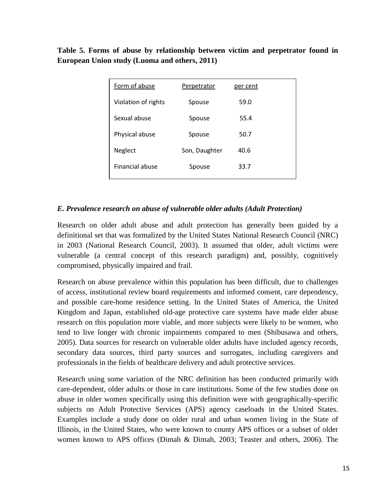**Table 5. Forms of abuse by relationship between victim and perpetrator found in European Union study (Luoma and others, 2011)**

| Form of abuse       | Perpetrator   | per cent |
|---------------------|---------------|----------|
| Violation of rights | Spouse        | 59.0     |
| Sexual abuse        | Spouse        | 55.4     |
| Physical abuse      | Spouse        | 50.7     |
| Neglect             | Son, Daughter | 40.6     |
| Financial abuse     | Spouse        | 33.7     |

#### *E. Prevalence research on abuse of vulnerable older adults (Adult Protection)*

Research on older adult abuse and adult protection has generally been guided by a definitional set that was formalized by the United States National Research Council (NRC) in 2003 (National Research Council, 2003). It assumed that older, adult victims were vulnerable (a central concept of this research paradigm) and, possibly, cognitively compromised, physically impaired and frail.

Research on abuse prevalence within this population has been difficult, due to challenges of access, institutional review board requirements and informed consent, care dependency, and possible care-home residence setting. In the United States of America, the United Kingdom and Japan, established old-age protective care systems have made elder abuse research on this population more viable, and more subjects were likely to be women, who tend to live longer with chronic impairments compared to men (Shibusawa and others, 2005). Data sources for research on vulnerable older adults have included agency records, secondary data sources, third party sources and surrogates, including caregivers and professionals in the fields of healthcare delivery and adult protective services.

Research using some variation of the NRC definition has been conducted primarily with care-dependent, older adults or those in care institutions. Some of the few studies done on abuse in older women specifically using this definition were with geographically-specific subjects on Adult Protective Services (APS) agency caseloads in the United States. Examples include a study done on older rural and urban women living in the State of Illinois, in the United States, who were known to county APS offices or a subset of older women known to APS offices (Dimah & Dimah, 2003; Teaster and others, 2006). The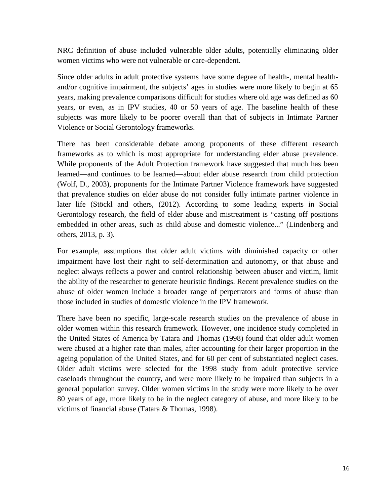NRC definition of abuse included vulnerable older adults, potentially eliminating older women victims who were not vulnerable or care-dependent.

Since older adults in adult protective systems have some degree of health-, mental healthand/or cognitive impairment, the subjects' ages in studies were more likely to begin at 65 years, making prevalence comparisons difficult for studies where old age was defined as 60 years, or even, as in IPV studies, 40 or 50 years of age. The baseline health of these subjects was more likely to be poorer overall than that of subjects in Intimate Partner Violence or Social Gerontology frameworks.

There has been considerable debate among proponents of these different research frameworks as to which is most appropriate for understanding elder abuse prevalence. While proponents of the Adult Protection framework have suggested that much has been learned—and continues to be learned—about elder abuse research from child protection (Wolf, D., 2003), proponents for the Intimate Partner Violence framework have suggested that prevalence studies on elder abuse do not consider fully intimate partner violence in later life (Stöckl and others, (2012). According to some leading experts in Social Gerontology research, the field of elder abuse and mistreatment is "casting off positions embedded in other areas, such as child abuse and domestic violence..." (Lindenberg and others, 2013, p. 3).

For example, assumptions that older adult victims with diminished capacity or other impairment have lost their right to self-determination and autonomy, or that abuse and neglect always reflects a power and control relationship between abuser and victim, limit the ability of the researcher to generate heuristic findings. Recent prevalence studies on the abuse of older women include a broader range of perpetrators and forms of abuse than those included in studies of domestic violence in the IPV framework.

There have been no specific, large-scale research studies on the prevalence of abuse in older women within this research framework. However, one incidence study completed in the United States of America by Tatara and Thomas (1998) found that older adult women were abused at a higher rate than males, after accounting for their larger proportion in the ageing population of the United States, and for 60 per cent of substantiated neglect cases. Older adult victims were selected for the 1998 study from adult protective service caseloads throughout the country, and were more likely to be impaired than subjects in a general population survey. Older women victims in the study were more likely to be over 80 years of age, more likely to be in the neglect category of abuse, and more likely to be victims of financial abuse (Tatara & Thomas, 1998).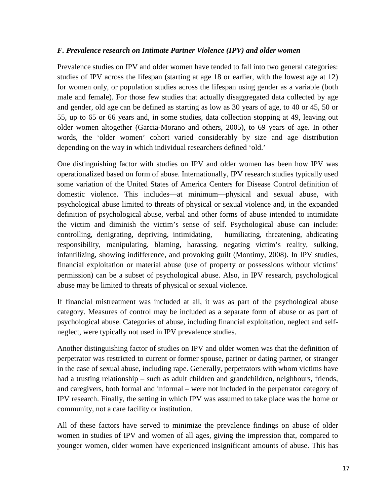#### *F. Prevalence research on Intimate Partner Violence (IPV) and older women*

Prevalence studies on IPV and older women have tended to fall into two general categories: studies of IPV across the lifespan (starting at age 18 or earlier, with the lowest age at 12) for women only, or population studies across the lifespan using gender as a variable (both male and female). For those few studies that actually disaggregated data collected by age and gender, old age can be defined as starting as low as 30 years of age, to 40 or 45, 50 or 55, up to 65 or 66 years and, in some studies, data collection stopping at 49, leaving out older women altogether (Garcia-Morano and others, 2005), to 69 years of age. In other words, the 'older women' cohort varied considerably by size and age distribution depending on the way in which individual researchers defined 'old.'

One distinguishing factor with studies on IPV and older women has been how IPV was operationalized based on form of abuse. Internationally, IPV research studies typically used some variation of the United States of America Centers for Disease Control definition of domestic violence. This includes—at minimum—physical and sexual abuse, with psychological abuse limited to threats of physical or sexual violence and, in the expanded definition of psychological abuse, verbal and other forms of abuse intended to intimidate the victim and diminish the victim's sense of self. Psychological abuse can include: controlling, denigrating, depriving, intimidating, humiliating, threatening, abdicating responsibility, manipulating, blaming, harassing, negating victim's reality, sulking, infantilizing, showing indifference, and provoking guilt (Montimy, 2008). In IPV studies, financial exploitation or material abuse (use of property or possessions without victims' permission) can be a subset of psychological abuse. Also, in IPV research, psychological abuse may be limited to threats of physical or sexual violence.

If financial mistreatment was included at all, it was as part of the psychological abuse category. Measures of control may be included as a separate form of abuse or as part of psychological abuse. Categories of abuse, including financial exploitation, neglect and selfneglect, were typically not used in IPV prevalence studies.

Another distinguishing factor of studies on IPV and older women was that the definition of perpetrator was restricted to current or former spouse, partner or dating partner, or stranger in the case of sexual abuse, including rape. Generally, perpetrators with whom victims have had a trusting relationship – such as adult children and grandchildren, neighbours, friends, and caregivers, both formal and informal – were not included in the perpetrator category of IPV research. Finally, the setting in which IPV was assumed to take place was the home or community, not a care facility or institution.

All of these factors have served to minimize the prevalence findings on abuse of older women in studies of IPV and women of all ages, giving the impression that, compared to younger women, older women have experienced insignificant amounts of abuse. This has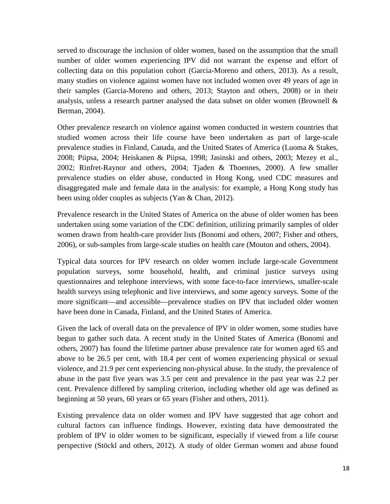served to discourage the inclusion of older women, based on the assumption that the small number of older women experiencing IPV did not warrant the expense and effort of collecting data on this population cohort (Garcia-Moreno and others, 2013). As a result, many studies on violence against women have not included women over 49 years of age in their samples (Garcia-Moreno and others, 2013; Stayton and others, 2008) or in their analysis, unless a research partner analysed the data subset on older women (Brownell  $\&$ Berman, 2004).

Other prevalence research on violence against women conducted in western countries that studied women across their life course have been undertaken as part of large-scale prevalence studies in Finland, Canada, and the United States of America (Luoma & Stakes, 2008; Piipsa, 2004; Heiskanen & Piipsa, 1998; Jasinski and others, 2003; Mezey et al., 2002; Rinfret-Raynor and others, 2004; Tjaden & Thoennes, 2000). A few smaller prevalence studies on elder abuse, conducted in Hong Kong, used CDC measures and disaggregated male and female data in the analysis: for example, a Hong Kong study has been using older couples as subjects (Yan & Chan, 2012).

Prevalence research in the United States of America on the abuse of older women has been undertaken using some variation of the CDC definition, utilizing primarily samples of older women drawn from health-care provider lists (Bonomi and others, 2007; Fisher and others, 2006), or sub-samples from large-scale studies on health care (Mouton and others, 2004).

Typical data sources for IPV research on older women include large-scale Government population surveys, some household, health, and criminal justice surveys using questionnaires and telephone interviews, with some face-to-face interviews, smaller-scale health surveys using telephonic and live interviews, and some agency surveys. Some of the more significant—and accessible—prevalence studies on IPV that included older women have been done in Canada, Finland, and the United States of America.

Given the lack of overall data on the prevalence of IPV in older women, some studies have begun to gather such data. A recent study in the United States of America (Bonomi and others, 2007) has found the lifetime partner abuse prevalence rate for women aged 65 and above to be 26.5 per cent, with 18.4 per cent of women experiencing physical or sexual violence, and 21.9 per cent experiencing non-physical abuse. In the study, the prevalence of abuse in the past five years was 3.5 per cent and prevalence in the past year was 2.2 per cent. Prevalence differed by sampling criterion, including whether old age was defined as beginning at 50 years, 60 years or 65 years (Fisher and others, 2011).

Existing prevalence data on older women and IPV have suggested that age cohort and cultural factors can influence findings. However, existing data have demonstrated the problem of IPV in older women to be significant, especially if viewed from a life course perspective (Stöckl and others, 2012). A study of older German women and abuse found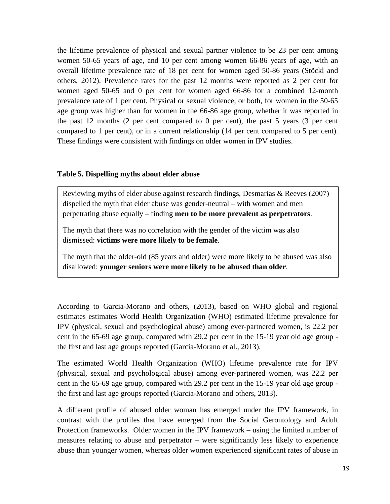the lifetime prevalence of physical and sexual partner violence to be 23 per cent among women 50-65 years of age, and 10 per cent among women 66-86 years of age, with an overall lifetime prevalence rate of 18 per cent for women aged 50-86 years (Stöckl and others, 2012). Prevalence rates for the past 12 months were reported as 2 per cent for women aged 50-65 and 0 per cent for women aged 66-86 for a combined 12-month prevalence rate of 1 per cent. Physical or sexual violence, or both, for women in the 50-65 age group was higher than for women in the 66-86 age group, whether it was reported in the past 12 months (2 per cent compared to 0 per cent), the past 5 years (3 per cent compared to 1 per cent), or in a current relationship (14 per cent compared to 5 per cent). These findings were consistent with findings on older women in IPV studies.

#### **Table 5. Dispelling myths about elder abuse**

Reviewing myths of elder abuse against research findings, Desmarias & Reeves (2007) dispelled the myth that elder abuse was gender-neutral – with women and men perpetrating abuse equally – finding **men to be more prevalent as perpetrators**.

The myth that there was no correlation with the gender of the victim was also dismissed: **victims were more likely to be female**.

The myth that the older-old (85 years and older) were more likely to be abused was also disallowed: **younger seniors were more likely to be abused than older**.

According to Garcia-Morano and others, (2013), based on WHO global and regional estimates estimates World Health Organization (WHO) estimated lifetime prevalence for IPV (physical, sexual and psychological abuse) among ever-partnered women, is 22.2 per cent in the 65-69 age group, compared with 29.2 per cent in the 15-19 year old age group the first and last age groups reported (Garcia-Morano et al., 2013).

The estimated World Health Organization (WHO) lifetime prevalence rate for IPV (physical, sexual and psychological abuse) among ever-partnered women, was 22.2 per cent in the 65-69 age group, compared with 29.2 per cent in the 15-19 year old age group the first and last age groups reported (Garcia-Morano and others, 2013).

A different profile of abused older woman has emerged under the IPV framework, in contrast with the profiles that have emerged from the Social Gerontology and Adult Protection frameworks. Older women in the IPV framework – using the limited number of measures relating to abuse and perpetrator – were significantly less likely to experience abuse than younger women, whereas older women experienced significant rates of abuse in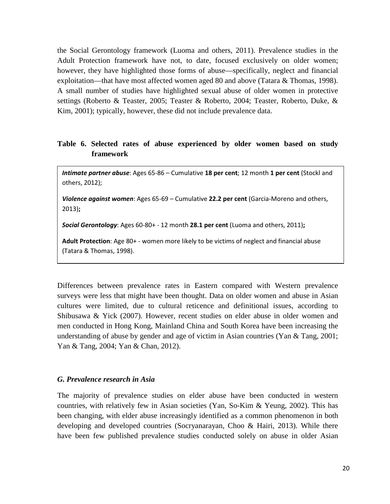the Social Gerontology framework (Luoma and others, 2011). Prevalence studies in the Adult Protection framework have not, to date, focused exclusively on older women; however, they have highlighted those forms of abuse—specifically, neglect and financial exploitation—that have most affected women aged 80 and above (Tatara & Thomas, 1998). A small number of studies have highlighted sexual abuse of older women in protective settings (Roberto & Teaster, 2005; Teaster & Roberto, 2004; Teaster, Roberto, Duke, & Kim, 2001); typically, however, these did not include prevalence data.

#### **Table 6. Selected rates of abuse experienced by older women based on study framework**

Intimate partner abuse: Ages 65-86 – Cumulative 18 per cent; 12 month 1 per cent (Stockl and others, 2012);

Violence against women: Ages 65-69 - Cumulative 22.2 per cent (Garcia-Moreno and others, 2013);

Social Gerontology: Ages 60-80+ - 12 month 28.1 per cent (Luoma and others, 2011);

Adult Protection: Age 80+ - women more likely to be victims of neglect and financial abuse (Tatara & Thomas, 1998).

Differences between prevalence rates in Eastern compared with Western prevalence surveys were less that might have been thought. Data on older women and abuse in Asian cultures were limited, due to cultural reticence and definitional issues, according to Shibusawa & Yick (2007). However, recent studies on elder abuse in older women and men conducted in Hong Kong, Mainland China and South Korea have been increasing the understanding of abuse by gender and age of victim in Asian countries (Yan & Tang, 2001; Yan & Tang, 2004; Yan & Chan, 2012).

#### *G. Prevalence research in Asia*

The majority of prevalence studies on elder abuse have been conducted in western countries, with relatively few in Asian societies (Yan, So-Kim & Yeung, 2002). This has been changing, with elder abuse increasingly identified as a common phenomenon in both developing and developed countries (Socryanarayan, Choo & Hairi, 2013). While there have been few published prevalence studies conducted solely on abuse in older Asian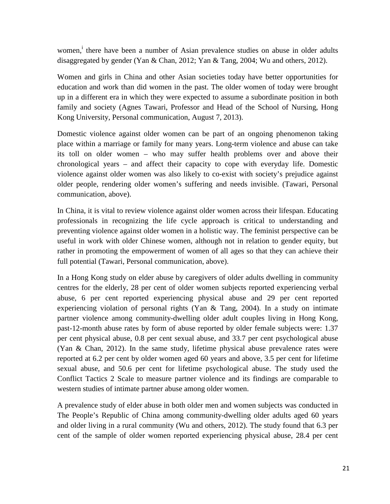women,<sup>i</sup> there have been a number of Asian prevalence studies on abuse in older adults disaggregated by gender (Yan & Chan, 2012; Yan & Tang, 2004; Wu and others, 2012).

Women and girls in China and other Asian societies today have better opportunities for education and work than did women in the past. The older women of today were brought up in a different era in which they were expected to assume a subordinate position in both family and society (Agnes Tawari, Professor and Head of the School of Nursing, Hong Kong University, Personal communication, August 7, 2013).

Domestic violence against older women can be part of an ongoing phenomenon taking place within a marriage or family for many years. Long-term violence and abuse can take its toll on older women – who may suffer health problems over and above their chronological years – and affect their capacity to cope with everyday life. Domestic violence against older women was also likely to co-exist with society's prejudice against older people, rendering older women's suffering and needs invisible. (Tawari, Personal communication, above).

In China, it is vital to review violence against older women across their lifespan. Educating professionals in recognizing the life cycle approach is critical to understanding and preventing violence against older women in a holistic way. The feminist perspective can be useful in work with older Chinese women, although not in relation to gender equity, but rather in promoting the empowerment of women of all ages so that they can achieve their full potential (Tawari, Personal communication, above).

In a Hong Kong study on elder abuse by caregivers of older adults dwelling in community centres for the elderly, 28 per cent of older women subjects reported experiencing verbal abuse, 6 per cent reported experiencing physical abuse and 29 per cent reported experiencing violation of personal rights (Yan & Tang, 2004). In a study on intimate partner violence among community-dwelling older adult couples living in Hong Kong, past-12-month abuse rates by form of abuse reported by older female subjects were: 1.37 per cent physical abuse, 0.8 per cent sexual abuse, and 33.7 per cent psychological abuse (Yan & Chan, 2012). In the same study, lifetime physical abuse prevalence rates were reported at 6.2 per cent by older women aged 60 years and above, 3.5 per cent for lifetime sexual abuse, and 50.6 per cent for lifetime psychological abuse. The study used the Conflict Tactics 2 Scale to measure partner violence and its findings are comparable to western studies of intimate partner abuse among older women.

A prevalence study of elder abuse in both older men and women subjects was conducted in The People's Republic of China among community-dwelling older adults aged 60 years and older living in a rural community (Wu and others, 2012). The study found that 6.3 per cent of the sample of older women reported experiencing physical abuse, 28.4 per cent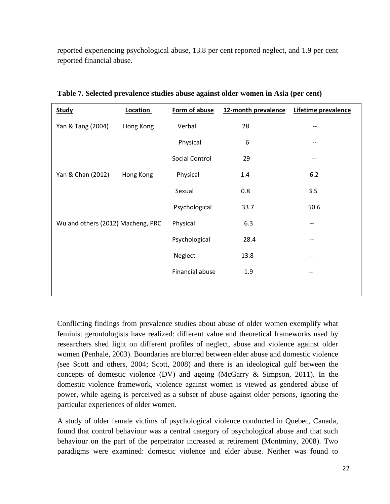reported experiencing psychological abuse, 13.8 per cent reported neglect, and 1.9 per cent reported financial abuse.

| <b>Study</b>                      | Location  | Form of abuse   | 12-month prevalence | Lifetime prevalence |
|-----------------------------------|-----------|-----------------|---------------------|---------------------|
| Yan & Tang (2004)                 | Hong Kong | Verbal          | 28                  |                     |
|                                   |           | Physical        | $\,6\,$             |                     |
|                                   |           | Social Control  | 29                  | --                  |
| Yan & Chan (2012)                 | Hong Kong | Physical        | 1.4                 | 6.2                 |
|                                   |           | Sexual          | 0.8                 | 3.5                 |
|                                   |           | Psychological   | 33.7                | 50.6                |
| Wu and others (2012) Macheng, PRC |           | Physical        | 6.3                 | --                  |
|                                   |           | Psychological   | 28.4                | --                  |
|                                   |           | Neglect         | 13.8                | --                  |
|                                   |           | Financial abuse | 1.9                 | --                  |
|                                   |           |                 |                     |                     |

**Table 7. Selected prevalence studies abuse against older women in Asia (per cent)** 

Conflicting findings from prevalence studies about abuse of older women exemplify what feminist gerontologists have realized: different value and theoretical frameworks used by researchers shed light on different profiles of neglect, abuse and violence against older women (Penhale, 2003). Boundaries are blurred between elder abuse and domestic violence (see Scott and others, 2004; Scott, 2008) and there is an ideological gulf between the concepts of domestic violence (DV) and ageing (McGarry & Simpson, 2011). In the domestic violence framework, violence against women is viewed as gendered abuse of power, while ageing is perceived as a subset of abuse against older persons, ignoring the particular experiences of older women.

A study of older female victims of psychological violence conducted in Quebec, Canada, found that control behaviour was a central category of psychological abuse and that such behaviour on the part of the perpetrator increased at retirement (Montminy, 2008). Two paradigms were examined: domestic violence and elder abuse. Neither was found to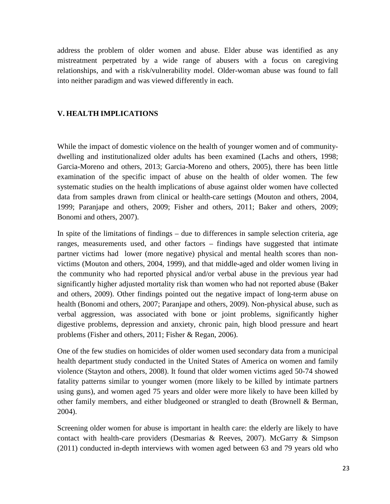address the problem of older women and abuse. Elder abuse was identified as any mistreatment perpetrated by a wide range of abusers with a focus on caregiving relationships, and with a risk/vulnerability model. Older-woman abuse was found to fall into neither paradigm and was viewed differently in each.

#### **V. HEALTH IMPLICATIONS**

While the impact of domestic violence on the health of younger women and of communitydwelling and institutionalized older adults has been examined (Lachs and others, 1998; Garcia-Moreno and others, 2013; Garcia-Moreno and others, 2005), there has been little examination of the specific impact of abuse on the health of older women. The few systematic studies on the health implications of abuse against older women have collected data from samples drawn from clinical or health-care settings (Mouton and others, 2004, 1999; Paranjape and others, 2009; Fisher and others, 2011; Baker and others, 2009; Bonomi and others, 2007).

In spite of the limitations of findings – due to differences in sample selection criteria, age ranges, measurements used, and other factors – findings have suggested that intimate partner victims had lower (more negative) physical and mental health scores than nonvictims (Mouton and others, 2004, 1999), and that middle-aged and older women living in the community who had reported physical and/or verbal abuse in the previous year had significantly higher adjusted mortality risk than women who had not reported abuse (Baker and others, 2009). Other findings pointed out the negative impact of long-term abuse on health (Bonomi and others, 2007; Paranjape and others, 2009). Non-physical abuse, such as verbal aggression, was associated with bone or joint problems, significantly higher digestive problems, depression and anxiety, chronic pain, high blood pressure and heart problems (Fisher and others, 2011; Fisher & Regan, 2006).

One of the few studies on homicides of older women used secondary data from a municipal health department study conducted in the United States of America on women and family violence (Stayton and others, 2008). It found that older women victims aged 50-74 showed fatality patterns similar to younger women (more likely to be killed by intimate partners using guns), and women aged 75 years and older were more likely to have been killed by other family members, and either bludgeoned or strangled to death (Brownell & Berman, 2004).

Screening older women for abuse is important in health care: the elderly are likely to have contact with health-care providers (Desmarias & Reeves, 2007). McGarry & Simpson (2011) conducted in-depth interviews with women aged between 63 and 79 years old who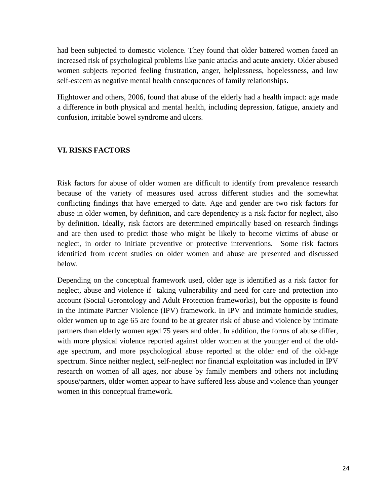had been subjected to domestic violence. They found that older battered women faced an increased risk of psychological problems like panic attacks and acute anxiety. Older abused women subjects reported feeling frustration, anger, helplessness, hopelessness, and low self-esteem as negative mental health consequences of family relationships.

Hightower and others, 2006, found that abuse of the elderly had a health impact: age made a difference in both physical and mental health, including depression, fatigue, anxiety and confusion, irritable bowel syndrome and ulcers.

#### **VI. RISKS FACTORS**

Risk factors for abuse of older women are difficult to identify from prevalence research because of the variety of measures used across different studies and the somewhat conflicting findings that have emerged to date. Age and gender are two risk factors for abuse in older women, by definition, and care dependency is a risk factor for neglect, also by definition. Ideally, risk factors are determined empirically based on research findings and are then used to predict those who might be likely to become victims of abuse or neglect, in order to initiate preventive or protective interventions. Some risk factors identified from recent studies on older women and abuse are presented and discussed below.

Depending on the conceptual framework used, older age is identified as a risk factor for neglect, abuse and violence if taking vulnerability and need for care and protection into account (Social Gerontology and Adult Protection frameworks), but the opposite is found in the Intimate Partner Violence (IPV) framework. In IPV and intimate homicide studies, older women up to age 65 are found to be at greater risk of abuse and violence by intimate partners than elderly women aged 75 years and older. In addition, the forms of abuse differ, with more physical violence reported against older women at the younger end of the oldage spectrum, and more psychological abuse reported at the older end of the old-age spectrum. Since neither neglect, self-neglect nor financial exploitation was included in IPV research on women of all ages, nor abuse by family members and others not including spouse/partners, older women appear to have suffered less abuse and violence than younger women in this conceptual framework.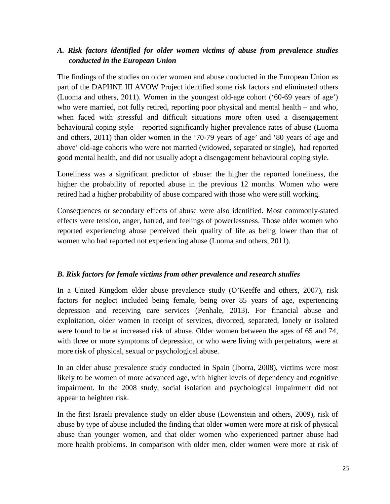#### *A. Risk factors identified for older women victims of abuse from prevalence studies conducted in the European Union*

The findings of the studies on older women and abuse conducted in the European Union as part of the DAPHNE III AVOW Project identified some risk factors and eliminated others (Luoma and others, 2011). Women in the youngest old-age cohort ('60-69 years of age') who were married, not fully retired, reporting poor physical and mental health – and who, when faced with stressful and difficult situations more often used a disengagement behavioural coping style – reported significantly higher prevalence rates of abuse (Luoma and others, 2011) than older women in the '70-79 years of age' and '80 years of age and above' old-age cohorts who were not married (widowed, separated or single), had reported good mental health, and did not usually adopt a disengagement behavioural coping style.

Loneliness was a significant predictor of abuse: the higher the reported loneliness, the higher the probability of reported abuse in the previous 12 months. Women who were retired had a higher probability of abuse compared with those who were still working.

Consequences or secondary effects of abuse were also identified. Most commonly-stated effects were tension, anger, hatred, and feelings of powerlessness. Those older women who reported experiencing abuse perceived their quality of life as being lower than that of women who had reported not experiencing abuse (Luoma and others, 2011).

#### *B. Risk factors for female victims from other prevalence and research studies*

In a United Kingdom elder abuse prevalence study (O'Keeffe and others, 2007), risk factors for neglect included being female, being over 85 years of age, experiencing depression and receiving care services (Penhale, 2013). For financial abuse and exploitation, older women in receipt of services, divorced, separated, lonely or isolated were found to be at increased risk of abuse. Older women between the ages of 65 and 74, with three or more symptoms of depression, or who were living with perpetrators, were at more risk of physical, sexual or psychological abuse.

In an elder abuse prevalence study conducted in Spain (Iborra, 2008), victims were most likely to be women of more advanced age, with higher levels of dependency and cognitive impairment. In the 2008 study, social isolation and psychological impairment did not appear to heighten risk.

In the first Israeli prevalence study on elder abuse (Lowenstein and others, 2009), risk of abuse by type of abuse included the finding that older women were more at risk of physical abuse than younger women, and that older women who experienced partner abuse had more health problems. In comparison with older men, older women were more at risk of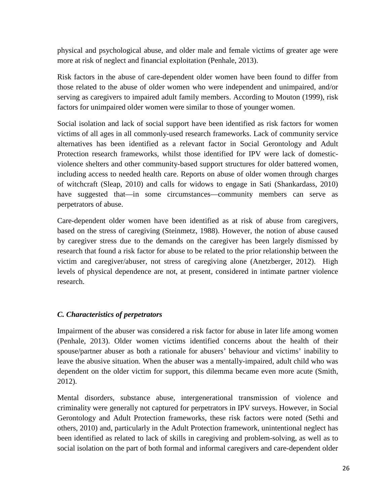physical and psychological abuse, and older male and female victims of greater age were more at risk of neglect and financial exploitation (Penhale, 2013).

Risk factors in the abuse of care-dependent older women have been found to differ from those related to the abuse of older women who were independent and unimpaired, and/or serving as caregivers to impaired adult family members. According to Mouton (1999), risk factors for unimpaired older women were similar to those of younger women.

Social isolation and lack of social support have been identified as risk factors for women victims of all ages in all commonly-used research frameworks. Lack of community service alternatives has been identified as a relevant factor in Social Gerontology and Adult Protection research frameworks, whilst those identified for IPV were lack of domesticviolence shelters and other community-based support structures for older battered women, including access to needed health care. Reports on abuse of older women through charges of witchcraft (Sleap, 2010) and calls for widows to engage in Sati (Shankardass, 2010) have suggested that—in some circumstances—community members can serve as perpetrators of abuse.

Care-dependent older women have been identified as at risk of abuse from caregivers, based on the stress of caregiving (Steinmetz, 1988). However, the notion of abuse caused by caregiver stress due to the demands on the caregiver has been largely dismissed by research that found a risk factor for abuse to be related to the prior relationship between the victim and caregiver/abuser, not stress of caregiving alone (Anetzberger, 2012). High levels of physical dependence are not, at present, considered in intimate partner violence research.

#### *C. Characteristics of perpetrators*

Impairment of the abuser was considered a risk factor for abuse in later life among women (Penhale, 2013). Older women victims identified concerns about the health of their spouse/partner abuser as both a rationale for abusers' behaviour and victims' inability to leave the abusive situation. When the abuser was a mentally-impaired, adult child who was dependent on the older victim for support, this dilemma became even more acute (Smith, 2012).

Mental disorders, substance abuse, intergenerational transmission of violence and criminality were generally not captured for perpetrators in IPV surveys. However, in Social Gerontology and Adult Protection frameworks, these risk factors were noted (Sethi and others, 2010) and, particularly in the Adult Protection framework, unintentional neglect has been identified as related to lack of skills in caregiving and problem-solving, as well as to social isolation on the part of both formal and informal caregivers and care-dependent older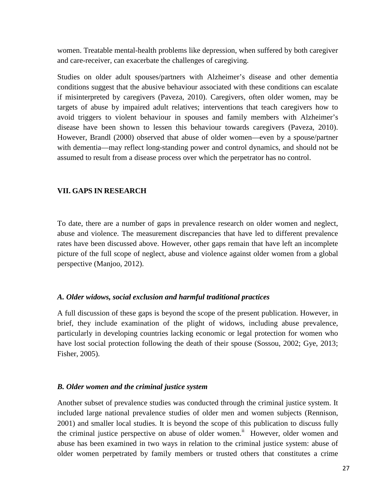women. Treatable mental-health problems like depression, when suffered by both caregiver and care-receiver, can exacerbate the challenges of caregiving.

Studies on older adult spouses/partners with Alzheimer's disease and other dementia conditions suggest that the abusive behaviour associated with these conditions can escalate if misinterpreted by caregivers (Paveza, 2010). Caregivers, often older women, may be targets of abuse by impaired adult relatives; interventions that teach caregivers how to avoid triggers to violent behaviour in spouses and family members with Alzheimer's disease have been shown to lessen this behaviour towards caregivers (Paveza, 2010). However, Brandl (2000) observed that abuse of older women—even by a spouse/partner with dementia—may reflect long-standing power and control dynamics, and should not be assumed to result from a disease process over which the perpetrator has no control.

#### **VII. GAPS IN RESEARCH**

To date, there are a number of gaps in prevalence research on older women and neglect, abuse and violence. The measurement discrepancies that have led to different prevalence rates have been discussed above. However, other gaps remain that have left an incomplete picture of the full scope of neglect, abuse and violence against older women from a global perspective (Manjoo, 2012).

#### *A. Older widows, social exclusion and harmful traditional practices*

A full discussion of these gaps is beyond the scope of the present publication. However, in brief, they include examination of the plight of widows, including abuse prevalence, particularly in developing countries lacking economic or legal protection for women who have lost social protection following the death of their spouse (Sossou, 2002; Gye, 2013; Fisher, 2005).

#### *B. Older women and the criminal justice system*

Another subset of prevalence studies was conducted through the criminal justice system. It included large national prevalence studies of older men and women subjects (Rennison, 2001) and smaller local studies. It is beyond the scope of this publication to discuss fully the criminal justice perspective on abuse of older women.<sup>ii</sup> However, older women and abuse has been examined in two ways in relation to the criminal justice system: abuse of older women perpetrated by family members or trusted others that constitutes a crime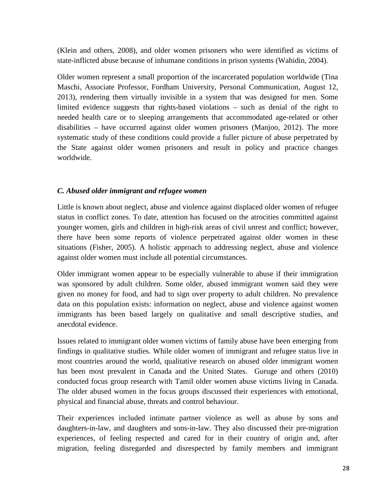(Klein and others, 2008), and older women prisoners who were identified as victims of state-inflicted abuse because of inhumane conditions in prison systems (Wahidin, 2004).

Older women represent a small proportion of the incarcerated population worldwide (Tina Maschi, Associate Professor, Fordham University, Personal Communication, August 12, 2013), rendering them virtually invisible in a system that was designed for men. Some limited evidence suggests that rights-based violations – such as denial of the right to needed health care or to sleeping arrangements that accommodated age-related or other disabilities – have occurred against older women prisoners (Manjoo, 2012). The more systematic study of these conditions could provide a fuller picture of abuse perpetrated by the State against older women prisoners and result in policy and practice changes worldwide.

#### *C. Abused older immigrant and refugee women*

Little is known about neglect, abuse and violence against displaced older women of refugee status in conflict zones. To date, attention has focused on the atrocities committed against younger women, girls and children in high-risk areas of civil unrest and conflict; however, there have been some reports of violence perpetrated against older women in these situations (Fisher, 2005). A holistic approach to addressing neglect, abuse and violence against older women must include all potential circumstances.

Older immigrant women appear to be especially vulnerable to abuse if their immigration was sponsored by adult children. Some older, abused immigrant women said they were given no money for food, and had to sign over property to adult children. No prevalence data on this population exists: information on neglect, abuse and violence against women immigrants has been based largely on qualitative and small descriptive studies, and anecdotal evidence.

Issues related to immigrant older women victims of family abuse have been emerging from findings in qualitative studies. While older women of immigrant and refugee status live in most countries around the world, qualitative research on abused older immigrant women has been most prevalent in Canada and the United States. Guruge and others (2010) conducted focus group research with Tamil older women abuse victims living in Canada. The older abused women in the focus groups discussed their experiences with emotional, physical and financial abuse, threats and control behaviour.

Their experiences included intimate partner violence as well as abuse by sons and daughters-in-law, and daughters and sons-in-law. They also discussed their pre-migration experiences, of feeling respected and cared for in their country of origin and, after migration, feeling disregarded and disrespected by family members and immigrant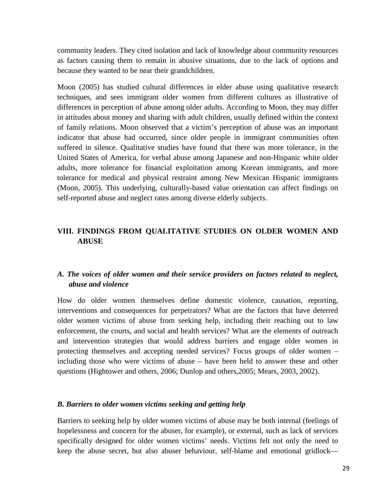community leaders. They cited isolation and lack of knowledge about community resources as factors causing them to remain in abusive situations, due to the lack of options and because they wanted to be near their grandchildren.

Moon (2005) has studied cultural differences in elder abuse using qualitative research techniques, and sees immigrant older women from different cultures as illustrative of differences in perception of abuse among older adults. According to Moon, they may differ in attitudes about money and sharing with adult children, usually defined within the context of family relations. Moon observed that a victim's perception of abuse was an important indicator that abuse had occurred, since older people in immigrant communities often suffered in silence. Qualitative studies have found that there was more tolerance, in the United States of America, for verbal abuse among Japanese and non-Hispanic white older adults, more tolerance for financial exploitation among Korean immigrants, and more tolerance for medical and physical restraint among New Mexican Hispanic immigrants (Moon, 2005). This underlying, culturally-based value orientation can affect findings on self-reported abuse and neglect rates among diverse elderly subjects.

#### **VIII. FINDINGS FROM QUALITATIVE STUDIES ON OLDER WOMEN AND ABUSE**

#### *A. The voices of older women and their service providers on factors related to neglect, abuse and violence*

How do older women themselves define domestic violence, causation, reporting, interventions and consequences for perpetrators? What are the factors that have deterred older women victims of abuse from seeking help, including their reaching out to law enforcement, the courts, and social and health services? What are the elements of outreach and intervention strategies that would address barriers and engage older women in protecting themselves and accepting needed services? Focus groups of older women – including those who were victims of abuse – have been held to answer these and other questions (Hightower and others, 2006; Dunlop and others,2005; Mears, 2003, 2002).

#### *B. Barriers to older women victims seeking and getting help*

Barriers to seeking help by older women victims of abuse may be both internal (feelings of hopelessness and concern for the abuser, for example), or external, such as lack of services specifically designed for older women victims' needs. Victims felt not only the need to keep the abuse secret, but also abuser behaviour, self-blame and emotional gridlock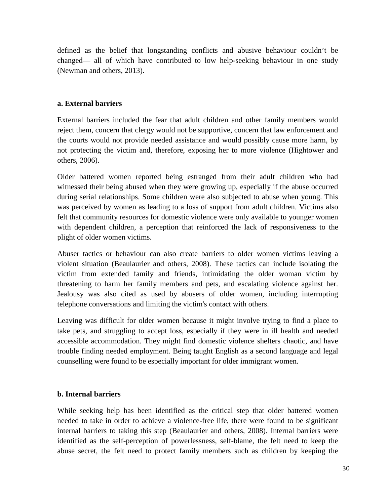defined as the belief that longstanding conflicts and abusive behaviour couldn't be changed— all of which have contributed to low help-seeking behaviour in one study (Newman and others, 2013).

#### **a. External barriers**

External barriers included the fear that adult children and other family members would reject them, concern that clergy would not be supportive, concern that law enforcement and the courts would not provide needed assistance and would possibly cause more harm, by not protecting the victim and, therefore, exposing her to more violence (Hightower and others, 2006).

Older battered women reported being estranged from their adult children who had witnessed their being abused when they were growing up, especially if the abuse occurred during serial relationships. Some children were also subjected to abuse when young. This was perceived by women as leading to a loss of support from adult children. Victims also felt that community resources for domestic violence were only available to younger women with dependent children, a perception that reinforced the lack of responsiveness to the plight of older women victims.

Abuser tactics or behaviour can also create barriers to older women victims leaving a violent situation (Beaulaurier and others, 2008). These tactics can include isolating the victim from extended family and friends, intimidating the older woman victim by threatening to harm her family members and pets, and escalating violence against her. Jealousy was also cited as used by abusers of older women, including interrupting telephone conversations and limiting the victim's contact with others.

Leaving was difficult for older women because it might involve trying to find a place to take pets, and struggling to accept loss, especially if they were in ill health and needed accessible accommodation. They might find domestic violence shelters chaotic, and have trouble finding needed employment. Being taught English as a second language and legal counselling were found to be especially important for older immigrant women.

#### **b. Internal barriers**

While seeking help has been identified as the critical step that older battered women needed to take in order to achieve a violence-free life, there were found to be significant internal barriers to taking this step (Beaulaurier and others, 2008). Internal barriers were identified as the self-perception of powerlessness, self-blame, the felt need to keep the abuse secret, the felt need to protect family members such as children by keeping the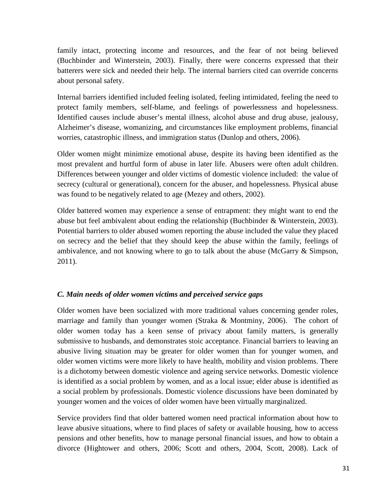family intact, protecting income and resources, and the fear of not being believed (Buchbinder and Winterstein, 2003). Finally, there were concerns expressed that their batterers were sick and needed their help. The internal barriers cited can override concerns about personal safety.

Internal barriers identified included feeling isolated, feeling intimidated, feeling the need to protect family members, self-blame, and feelings of powerlessness and hopelessness. Identified causes include abuser's mental illness, alcohol abuse and drug abuse, jealousy, Alzheimer's disease, womanizing, and circumstances like employment problems, financial worries, catastrophic illness, and immigration status (Dunlop and others, 2006).

Older women might minimize emotional abuse, despite its having been identified as the most prevalent and hurtful form of abuse in later life. Abusers were often adult children. Differences between younger and older victims of domestic violence included: the value of secrecy (cultural or generational), concern for the abuser, and hopelessness. Physical abuse was found to be negatively related to age (Mezey and others, 2002).

Older battered women may experience a sense of entrapment: they might want to end the abuse but feel ambivalent about ending the relationship (Buchbinder & Winterstein, 2003). Potential barriers to older abused women reporting the abuse included the value they placed on secrecy and the belief that they should keep the abuse within the family, feelings of ambivalence, and not knowing where to go to talk about the abuse (McGarry & Simpson, 2011).

#### *C. Main needs of older women victims and perceived service gaps*

Older women have been socialized with more traditional values concerning gender roles, marriage and family than younger women (Straka & Montminy, 2006). The cohort of older women today has a keen sense of privacy about family matters, is generally submissive to husbands, and demonstrates stoic acceptance. Financial barriers to leaving an abusive living situation may be greater for older women than for younger women, and older women victims were more likely to have health, mobility and vision problems. There is a dichotomy between domestic violence and ageing service networks. Domestic violence is identified as a social problem by women, and as a local issue; elder abuse is identified as a social problem by professionals. Domestic violence discussions have been dominated by younger women and the voices of older women have been virtually marginalized.

Service providers find that older battered women need practical information about how to leave abusive situations, where to find places of safety or available housing, how to access pensions and other benefits, how to manage personal financial issues, and how to obtain a divorce (Hightower and others, 2006; Scott and others, 2004, Scott, 2008). Lack of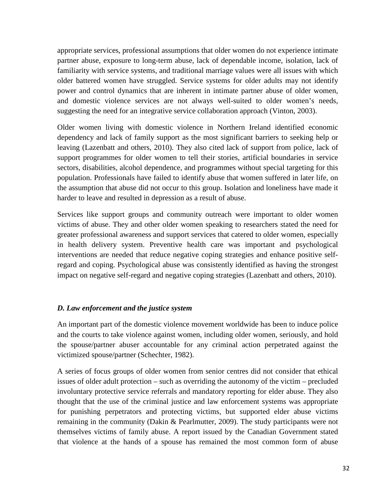appropriate services, professional assumptions that older women do not experience intimate partner abuse, exposure to long-term abuse, lack of dependable income, isolation, lack of familiarity with service systems, and traditional marriage values were all issues with which older battered women have struggled. Service systems for older adults may not identify power and control dynamics that are inherent in intimate partner abuse of older women, and domestic violence services are not always well-suited to older women's needs, suggesting the need for an integrative service collaboration approach (Vinton, 2003).

Older women living with domestic violence in Northern Ireland identified economic dependency and lack of family support as the most significant barriers to seeking help or leaving (Lazenbatt and others, 2010). They also cited lack of support from police, lack of support programmes for older women to tell their stories, artificial boundaries in service sectors, disabilities, alcohol dependence, and programmes without special targeting for this population. Professionals have failed to identify abuse that women suffered in later life, on the assumption that abuse did not occur to this group. Isolation and loneliness have made it harder to leave and resulted in depression as a result of abuse.

Services like support groups and community outreach were important to older women victims of abuse. They and other older women speaking to researchers stated the need for greater professional awareness and support services that catered to older women, especially in health delivery system. Preventive health care was important and psychological interventions are needed that reduce negative coping strategies and enhance positive selfregard and coping. Psychological abuse was consistently identified as having the strongest impact on negative self-regard and negative coping strategies (Lazenbatt and others, 2010).

#### *D. Law enforcement and the justice system*

An important part of the domestic violence movement worldwide has been to induce police and the courts to take violence against women, including older women, seriously, and hold the spouse/partner abuser accountable for any criminal action perpetrated against the victimized spouse/partner (Schechter, 1982).

A series of focus groups of older women from senior centres did not consider that ethical issues of older adult protection – such as overriding the autonomy of the victim – precluded involuntary protective service referrals and mandatory reporting for elder abuse. They also thought that the use of the criminal justice and law enforcement systems was appropriate for punishing perpetrators and protecting victims, but supported elder abuse victims remaining in the community (Dakin & Pearlmutter, 2009). The study participants were not themselves victims of family abuse. A report issued by the Canadian Government stated that violence at the hands of a spouse has remained the most common form of abuse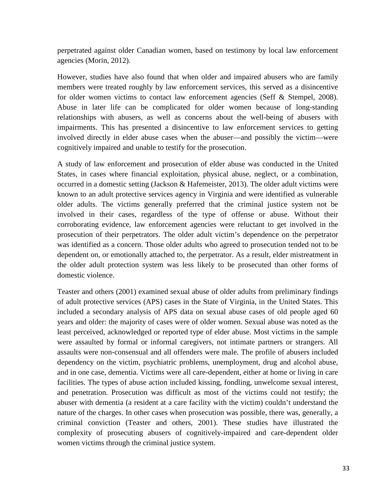perpetrated against older Canadian women, based on testimony by local law enforcement agencies (Morin, 2012).

However, studies have also found that when older and impaired abusers who are family members were treated roughly by law enforcement services, this served as a disincentive for older women victims to contact law enforcement agencies (Seff & Stempel, 2008). Abuse in later life can be complicated for older women because of long-standing relationships with abusers, as well as concerns about the well-being of abusers with impairments. This has presented a disincentive to law enforcement services to getting involved directly in elder abuse cases when the abuser—and possibly the victim—were cognitively impaired and unable to testify for the prosecution.

A study of law enforcement and prosecution of elder abuse was conducted in the United States, in cases where financial exploitation, physical abuse, neglect, or a combination, occurred in a domestic setting (Jackson & Hafemeister, 2013). The older adult victims were known to an adult protective services agency in Virginia and were identified as vulnerable older adults. The victims generally preferred that the criminal justice system not be involved in their cases, regardless of the type of offense or abuse. Without their corroborating evidence, law enforcement agencies were reluctant to get involved in the prosecution of their perpetrators. The older adult victim's dependence on the perpetrator was identified as a concern. Those older adults who agreed to prosecution tended not to be dependent on, or emotionally attached to, the perpetrator. As a result, elder mistreatment in the older adult protection system was less likely to be prosecuted than other forms of domestic violence.

Teaster and others (2001) examined sexual abuse of older adults from preliminary findings of adult protective services (APS) cases in the State of Virginia, in the United States. This included a secondary analysis of APS data on sexual abuse cases of old people aged 60 years and older: the majority of cases were of older women. Sexual abuse was noted as the least perceived, acknowledged or reported type of elder abuse. Most victims in the sample were assaulted by formal or informal caregivers, not intimate partners or strangers. All assaults were non-consensual and all offenders were male. The profile of abusers included dependency on the victim, psychiatric problems, unemployment, drug and alcohol abuse, and in one case, dementia. Victims were all care-dependent, either at home or living in care facilities. The types of abuse action included kissing, fondling, unwelcome sexual interest, and penetration. Prosecution was difficult as most of the victims could not testify; the abuser with dementia (a resident at a care facility with the victim) couldn't understand the nature of the charges. In other cases when prosecution was possible, there was, generally, a criminal conviction (Teaster and others, 2001). These studies have illustrated the complexity of prosecuting abusers of cognitively-impaired and care-dependent older women victims through the criminal justice system.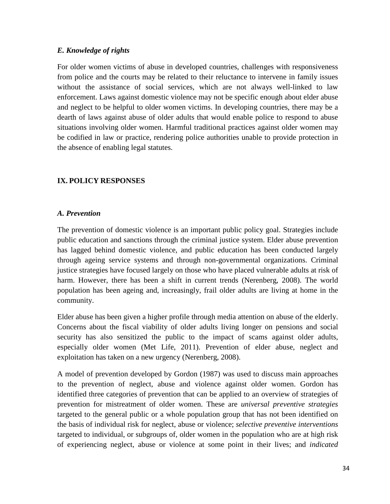#### *E. Knowledge of rights*

For older women victims of abuse in developed countries, challenges with responsiveness from police and the courts may be related to their reluctance to intervene in family issues without the assistance of social services, which are not always well-linked to law enforcement. Laws against domestic violence may not be specific enough about elder abuse and neglect to be helpful to older women victims. In developing countries, there may be a dearth of laws against abuse of older adults that would enable police to respond to abuse situations involving older women. Harmful traditional practices against older women may be codified in law or practice, rendering police authorities unable to provide protection in the absence of enabling legal statutes.

#### **IX. POLICY RESPONSES**

#### *A. Prevention*

The prevention of domestic violence is an important public policy goal. Strategies include public education and sanctions through the criminal justice system. Elder abuse prevention has lagged behind domestic violence, and public education has been conducted largely through ageing service systems and through non-governmental organizations. Criminal justice strategies have focused largely on those who have placed vulnerable adults at risk of harm. However, there has been a shift in current trends (Nerenberg, 2008). The world population has been ageing and, increasingly, frail older adults are living at home in the community.

Elder abuse has been given a higher profile through media attention on abuse of the elderly. Concerns about the fiscal viability of older adults living longer on pensions and social security has also sensitized the public to the impact of scams against older adults, especially older women (Met Life, 2011). Prevention of elder abuse, neglect and exploitation has taken on a new urgency (Nerenberg, 2008).

A model of prevention developed by Gordon (1987) was used to discuss main approaches to the prevention of neglect, abuse and violence against older women. Gordon has identified three categories of prevention that can be applied to an overview of strategies of prevention for mistreatment of older women. These are *universal preventive strategies* targeted to the general public or a whole population group that has not been identified on the basis of individual risk for neglect, abuse or violence; *selective preventive interventions* targeted to individual, or subgroups of, older women in the population who are at high risk of experiencing neglect, abuse or violence at some point in their lives; and *indicated*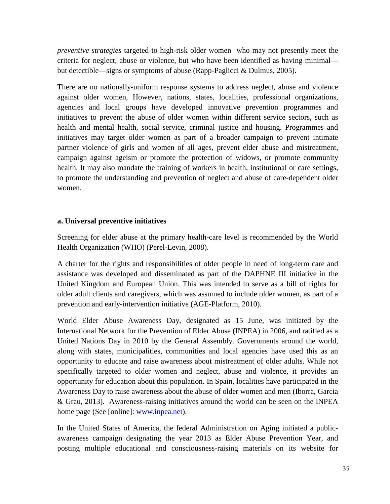*preventive strategies* targeted to high-risk older women who may not presently meet the criteria for neglect, abuse or violence, but who have been identified as having minimal but detectible—signs or symptoms of abuse (Rapp-Paglicci & Dulmus, 2005).

There are no nationally-uniform response systems to address neglect, abuse and violence against older women, However, nations, states, localities, professional organizations, agencies and local groups have developed innovative prevention programmes and initiatives to prevent the abuse of older women within different service sectors, such as health and mental health, social service, criminal justice and housing. Programmes and initiatives may target older women as part of a broader campaign to prevent intimate partner violence of girls and women of all ages, prevent elder abuse and mistreatment, campaign against ageism or promote the protection of widows, or promote community health. It may also mandate the training of workers in health, institutional or care settings, to promote the understanding and prevention of neglect and abuse of care-dependent older women.

#### **a. Universal preventive initiatives**

Screening for elder abuse at the primary health-care level is recommended by the World Health Organization (WHO) (Perel-Levin, 2008).

A charter for the rights and responsibilities of older people in need of long-term care and assistance was developed and disseminated as part of the DAPHNE III initiative in the United Kingdom and European Union. This was intended to serve as a bill of rights for older adult clients and caregivers, which was assumed to include older women, as part of a prevention and early-intervention initiative (AGE-Platform, 2010).

World Elder Abuse Awareness Day, designated as 15 June, was initiated by the International Network for the Prevention of Elder Abuse (INPEA) in 2006, and ratified as a United Nations Day in 2010 by the General Assembly. Governments around the world, along with states, municipalities, communities and local agencies have used this as an opportunity to educate and raise awareness about mistreatment of older adults. While not specifically targeted to older women and neglect, abuse and violence, it provides an opportunity for education about this population. In Spain, localities have participated in the Awareness Day to raise awareness about the abuse of older women and men (Iborra, Garcia & Grau, 2013). Awareness-raising initiatives around the world can be seen on the INPEA home page (See [online]: www.inpea.net).

In the United States of America, the federal Administration on Aging initiated a publicawareness campaign designating the year 2013 as Elder Abuse Prevention Year, and posting multiple educational and consciousness-raising materials on its website for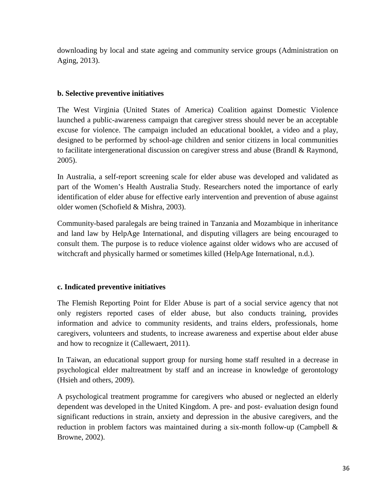downloading by local and state ageing and community service groups (Administration on Aging, 2013).

#### **b. Selective preventive initiatives**

The West Virginia (United States of America) Coalition against Domestic Violence launched a public-awareness campaign that caregiver stress should never be an acceptable excuse for violence. The campaign included an educational booklet, a video and a play, designed to be performed by school-age children and senior citizens in local communities to facilitate intergenerational discussion on caregiver stress and abuse (Brandl & Raymond, 2005).

In Australia, a self-report screening scale for elder abuse was developed and validated as part of the Women's Health Australia Study. Researchers noted the importance of early identification of elder abuse for effective early intervention and prevention of abuse against older women (Schofield & Mishra, 2003).

Community-based paralegals are being trained in Tanzania and Mozambique in inheritance and land law by HelpAge International, and disputing villagers are being encouraged to consult them. The purpose is to reduce violence against older widows who are accused of witchcraft and physically harmed or sometimes killed (HelpAge International, n.d.).

#### **c. Indicated preventive initiatives**

The Flemish Reporting Point for Elder Abuse is part of a social service agency that not only registers reported cases of elder abuse, but also conducts training, provides information and advice to community residents, and trains elders, professionals, home caregivers, volunteers and students, to increase awareness and expertise about elder abuse and how to recognize it (Callewaert, 2011).

In Taiwan, an educational support group for nursing home staff resulted in a decrease in psychological elder maltreatment by staff and an increase in knowledge of gerontology (Hsieh and others, 2009).

A psychological treatment programme for caregivers who abused or neglected an elderly dependent was developed in the United Kingdom. A pre- and post- evaluation design found significant reductions in strain, anxiety and depression in the abusive caregivers, and the reduction in problem factors was maintained during a six-month follow-up (Campbell & Browne, 2002).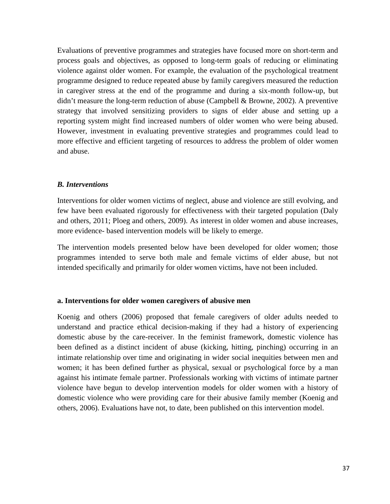Evaluations of preventive programmes and strategies have focused more on short-term and process goals and objectives, as opposed to long-term goals of reducing or eliminating violence against older women. For example, the evaluation of the psychological treatment programme designed to reduce repeated abuse by family caregivers measured the reduction in caregiver stress at the end of the programme and during a six-month follow-up, but didn't measure the long-term reduction of abuse (Campbell & Browne, 2002). A preventive strategy that involved sensitizing providers to signs of elder abuse and setting up a reporting system might find increased numbers of older women who were being abused. However, investment in evaluating preventive strategies and programmes could lead to more effective and efficient targeting of resources to address the problem of older women and abuse.

#### *B. Interventions*

Interventions for older women victims of neglect, abuse and violence are still evolving, and few have been evaluated rigorously for effectiveness with their targeted population (Daly and others, 2011; Ploeg and others, 2009). As interest in older women and abuse increases, more evidence- based intervention models will be likely to emerge.

The intervention models presented below have been developed for older women; those programmes intended to serve both male and female victims of elder abuse, but not intended specifically and primarily for older women victims, have not been included.

#### **a. Interventions for older women caregivers of abusive men**

Koenig and others (2006) proposed that female caregivers of older adults needed to understand and practice ethical decision-making if they had a history of experiencing domestic abuse by the care-receiver. In the feminist framework, domestic violence has been defined as a distinct incident of abuse (kicking, hitting, pinching) occurring in an intimate relationship over time and originating in wider social inequities between men and women; it has been defined further as physical, sexual or psychological force by a man against his intimate female partner. Professionals working with victims of intimate partner violence have begun to develop intervention models for older women with a history of domestic violence who were providing care for their abusive family member (Koenig and others, 2006). Evaluations have not, to date, been published on this intervention model.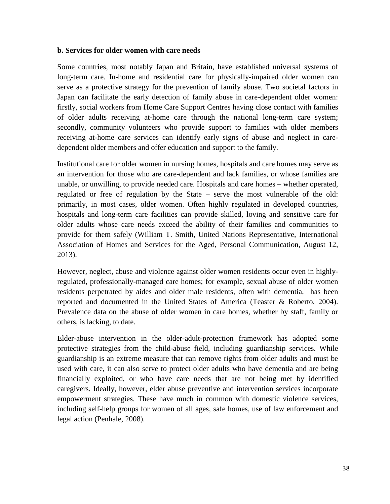#### **b. Services for older women with care needs**

Some countries, most notably Japan and Britain, have established universal systems of long-term care. In-home and residential care for physically-impaired older women can serve as a protective strategy for the prevention of family abuse. Two societal factors in Japan can facilitate the early detection of family abuse in care-dependent older women: firstly, social workers from Home Care Support Centres having close contact with families of older adults receiving at-home care through the national long-term care system; secondly, community volunteers who provide support to families with older members receiving at-home care services can identify early signs of abuse and neglect in caredependent older members and offer education and support to the family.

Institutional care for older women in nursing homes, hospitals and care homes may serve as an intervention for those who are care-dependent and lack families, or whose families are unable, or unwilling, to provide needed care. Hospitals and care homes – whether operated, regulated or free of regulation by the State – serve the most vulnerable of the old: primarily, in most cases, older women. Often highly regulated in developed countries, hospitals and long-term care facilities can provide skilled, loving and sensitive care for older adults whose care needs exceed the ability of their families and communities to provide for them safely (William T. Smith, United Nations Representative, International Association of Homes and Services for the Aged, Personal Communication, August 12, 2013).

However, neglect, abuse and violence against older women residents occur even in highlyregulated, professionally-managed care homes; for example, sexual abuse of older women residents perpetrated by aides and older male residents, often with dementia, has been reported and documented in the United States of America (Teaster & Roberto, 2004). Prevalence data on the abuse of older women in care homes, whether by staff, family or others, is lacking, to date.

Elder-abuse intervention in the older-adult-protection framework has adopted some protective strategies from the child-abuse field, including guardianship services. While guardianship is an extreme measure that can remove rights from older adults and must be used with care, it can also serve to protect older adults who have dementia and are being financially exploited, or who have care needs that are not being met by identified caregivers. Ideally, however, elder abuse preventive and intervention services incorporate empowerment strategies. These have much in common with domestic violence services, including self-help groups for women of all ages, safe homes, use of law enforcement and legal action (Penhale, 2008).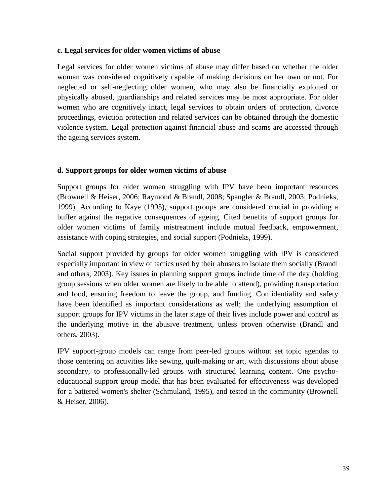#### **c. Legal services for older women victims of abuse**

Legal services for older women victims of abuse may differ based on whether the older woman was considered cognitively capable of making decisions on her own or not. For neglected or self-neglecting older women, who may also be financially exploited or physically abused, guardianships and related services may be most appropriate. For older women who are cognitively intact, legal services to obtain orders of protection, divorce proceedings, eviction protection and related services can be obtained through the domestic violence system. Legal protection against financial abuse and scams are accessed through the ageing services system.

#### **d. Support groups for older women victims of abuse**

Support groups for older women struggling with IPV have been important resources (Brownell & Heiser, 2006; Raymond & Brandl, 2008; Spangler & Brandl, 2003; Podnieks, 1999). According to Kaye (1995), support groups are considered crucial in providing a buffer against the negative consequences of ageing. Cited benefits of support groups for older women victims of family mistreatment include mutual feedback, empowerment, assistance with coping strategies, and social support (Podnieks, 1999).

Social support provided by groups for older women struggling with IPV is considered especially important in view of tactics used by their abusers to isolate them socially (Brandl and others, 2003). Key issues in planning support groups include time of the day (holding group sessions when older women are likely to be able to attend), providing transportation and food, ensuring freedom to leave the group, and funding. Confidentiality and safety have been identified as important considerations as well; the underlying assumption of support groups for IPV victims in the later stage of their lives include power and control as the underlying motive in the abusive treatment, unless proven otherwise (Brandl and others, 2003).

IPV support-group models can range from peer-led groups without set topic agendas to those centering on activities like sewing, quilt-making or art, with discussions about abuse secondary, to professionally-led groups with structured learning content. One psychoeducational support group model that has been evaluated for effectiveness was developed for a battered women's shelter (Schmuland, 1995), and tested in the community (Brownell & Heiser, 2006).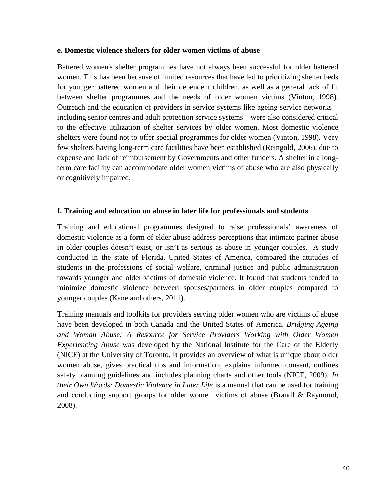#### **e. Domestic violence shelters for older women victims of abuse**

Battered women's shelter programmes have not always been successful for older battered women. This has been because of limited resources that have led to prioritizing shelter beds for younger battered women and their dependent children, as well as a general lack of fit between shelter programmes and the needs of older women victims (Vinton, 1998). Outreach and the education of providers in service systems like ageing service networks – including senior centres and adult protection service systems – were also considered critical to the effective utilization of shelter services by older women. Most domestic violence shelters were found not to offer special programmes for older women (Vinton, 1998). Very few shelters having long-term care facilities have been established (Reingold, 2006), due to expense and lack of reimbursement by Governments and other funders. A shelter in a longterm care facility can accommodate older women victims of abuse who are also physically or cognitively impaired.

#### **f. Training and education on abuse in later life for professionals and students**

Training and educational programmes designed to raise professionals' awareness of domestic violence as a form of elder abuse address perceptions that intimate partner abuse in older couples doesn't exist, or isn't as serious as abuse in younger couples. A study conducted in the state of Florida, United States of America, compared the attitudes of students in the professions of social welfare, criminal justice and public administration towards younger and older victims of domestic violence. It found that students tended to minimize domestic violence between spouses/partners in older couples compared to younger couples (Kane and others, 2011).

Training manuals and toolkits for providers serving older women who are victims of abuse have been developed in both Canada and the United States of America. *Bridging Ageing and Woman Abuse: A Resource for Service Providers Working with Older Women Experiencing Abuse* was developed by the National Institute for the Care of the Elderly (NICE) at the University of Toronto. It provides an overview of what is unique about older women abuse, gives practical tips and information, explains informed consent, outlines safety planning guidelines and includes planning charts and other tools (NICE, 2009). *In their Own Words: Domestic Violence in Later Life* is a manual that can be used for training and conducting support groups for older women victims of abuse (Brandl & Raymond, 2008).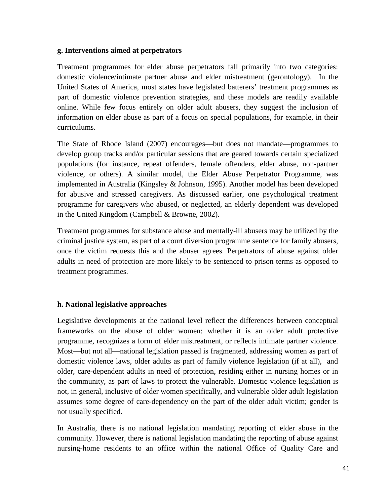#### **g. Interventions aimed at perpetrators**

Treatment programmes for elder abuse perpetrators fall primarily into two categories: domestic violence/intimate partner abuse and elder mistreatment (gerontology). In the United States of America, most states have legislated batterers' treatment programmes as part of domestic violence prevention strategies, and these models are readily available online. While few focus entirely on older adult abusers, they suggest the inclusion of information on elder abuse as part of a focus on special populations, for example, in their curriculums.

The State of Rhode Island (2007) encourages—but does not mandate—programmes to develop group tracks and/or particular sessions that are geared towards certain specialized populations (for instance, repeat offenders, female offenders, elder abuse, non-partner violence, or others). A similar model, the Elder Abuse Perpetrator Programme, was implemented in Australia (Kingsley & Johnson, 1995). Another model has been developed for abusive and stressed caregivers. As discussed earlier, one psychological treatment programme for caregivers who abused, or neglected, an elderly dependent was developed in the United Kingdom (Campbell & Browne, 2002).

Treatment programmes for substance abuse and mentally-ill abusers may be utilized by the criminal justice system, as part of a court diversion programme sentence for family abusers, once the victim requests this and the abuser agrees. Perpetrators of abuse against older adults in need of protection are more likely to be sentenced to prison terms as opposed to treatment programmes.

#### **h. National legislative approaches**

Legislative developments at the national level reflect the differences between conceptual frameworks on the abuse of older women: whether it is an older adult protective programme, recognizes a form of elder mistreatment, or reflects intimate partner violence. Most—but not all—national legislation passed is fragmented, addressing women as part of domestic violence laws, older adults as part of family violence legislation (if at all), and older, care-dependent adults in need of protection, residing either in nursing homes or in the community, as part of laws to protect the vulnerable. Domestic violence legislation is not, in general, inclusive of older women specifically, and vulnerable older adult legislation assumes some degree of care-dependency on the part of the older adult victim; gender is not usually specified.

In Australia, there is no national legislation mandating reporting of elder abuse in the community. However, there is national legislation mandating the reporting of abuse against nursing-home residents to an office within the national Office of Quality Care and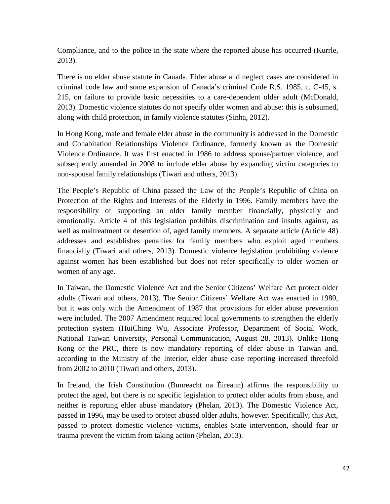Compliance, and to the police in the state where the reported abuse has occurred (Kurrle, 2013).

There is no elder abuse statute in Canada. Elder abuse and neglect cases are considered in criminal code law and some expansion of Canada's criminal Code R.S. 1985, c. C-45, s. 215, on failure to provide basic necessities to a care-dependent older adult (McDonald, 2013). Domestic violence statutes do not specify older women and abuse: this is subsumed, along with child protection, in family violence statutes (Sinha, 2012).

In Hong Kong, male and female elder abuse in the community is addressed in the Domestic and Cohabitation Relationships Violence Ordinance, formerly known as the Domestic Violence Ordinance. It was first enacted in 1986 to address spouse/partner violence, and subsequently amended in 2008 to include elder abuse by expanding victim categories to non-spousal family relationships (Tiwari and others, 2013).

The People's Republic of China passed the Law of the People's Republic of China on Protection of the Rights and Interests of the Elderly in 1996. Family members have the responsibility of supporting an older family member financially, physically and emotionally. Article 4 of this legislation prohibits discrimination and insults against, as well as maltreatment or desertion of, aged family members. A separate article (Article 48) addresses and establishes penalties for family members who exploit aged members financially (Tiwari and others, 2013). Domestic violence legislation prohibiting violence against women has been established but does not refer specifically to older women or women of any age.

In Taiwan, the Domestic Violence Act and the Senior Citizens' Welfare Act protect older adults (Tiwari and others, 2013). The Senior Citizens' Welfare Act was enacted in 1980, but it was only with the Amendment of 1987 that provisions for elder abuse prevention were included. The 2007 Amendment required local governments to strengthen the elderly protection system (HuiChing Wu, Associate Professor, Department of Social Work, National Taiwan University, Personal Communication, August 28, 2013). Unlike Hong Kong or the PRC, there is now mandatory reporting of elder abuse in Taiwan and, according to the Ministry of the Interior, elder abuse case reporting increased threefold from 2002 to 2010 (Tiwari and others, 2013).

In Ireland, the Irish Constitution (Bunreacht na Éireann) affirms the responsibility to protect the aged, but there is no specific legislation to protect older adults from abuse, and neither is reporting elder abuse mandatory (Phelan, 2013). The Domestic Violence Act, passed in 1996, may be used to protect abused older adults, however. Specifically, this Act, passed to protect domestic violence victims, enables State intervention, should fear or trauma prevent the victim from taking action (Phelan, 2013).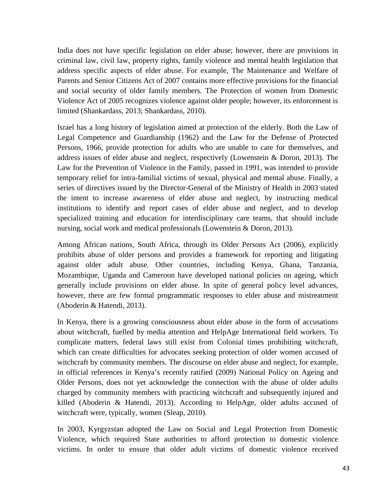India does not have specific legislation on elder abuse; however, there are provisions in criminal law, civil law, property rights, family violence and mental health legislation that address specific aspects of elder abuse. For example, The Maintenance and Welfare of Parents and Senior Citizens Act of 2007 contains more effective provisions for the financial and social security of older family members. The Protection of women from Domestic Violence Act of 2005 recognizes violence against older people; however, its enforcement is limited (Shankardass, 2013; Shankardass, 2010).

Israel has a long history of legislation aimed at protection of the elderly. Both the Law of Legal Competence and Guardianship (1962) and the Law for the Defense of Protected Persons, 1966, provide protection for adults who are unable to care for themselves, and address issues of elder abuse and neglect, respectively (Lowenstein & Doron, 2013). The Law for the Prevention of Violence in the Family, passed in 1991, was intended to provide temporary relief for intra-familial victims of sexual, physical and mental abuse. Finally, a series of directives issued by the Director-General of the Ministry of Health in 2003 stated the intent to increase awareness of elder abuse and neglect, by instructing medical institutions to identify and report cases of elder abuse and neglect, and to develop specialized training and education for interdisciplinary care teams, that should include nursing, social work and medical professionals (Lowenstein & Doron, 2013).

Among African nations, South Africa, through its Older Persons Act (2006), explicitly prohibits abuse of older persons and provides a framework for reporting and litigating against older adult abuse. Other countries, including Kenya, Ghana, Tanzania, Mozambique, Uganda and Cameroon have developed national policies on ageing, which generally include provisions on elder abuse. In spite of general policy level advances, however, there are few formal programmatic responses to elder abuse and mistreatment (Aboderin & Hatendi, 2013).

In Kenya, there is a growing consciousness about elder abuse in the form of accusations about witchcraft, fuelled by media attention and HelpAge International field workers. To complicate matters, federal laws still exist from Colonial times prohibiting witchcraft, which can create difficulties for advocates seeking protection of older women accused of witchcraft by community members. The discourse on elder abuse and neglect, for example, in official references in Kenya's recently ratified (2009) National Policy on Ageing and Older Persons, does not yet acknowledge the connection with the abuse of older adults charged by community members with practicing witchcraft and subsequently injured and killed (Aboderin & Hatendi, 2013). According to HelpAge, older adults accused of witchcraft were, typically, women (Sleap, 2010).

In 2003, Kyrgyzstan adopted the Law on Social and Legal Protection from Domestic Violence, which required State authorities to afford protection to domestic violence victims. In order to ensure that older adult victims of domestic violence received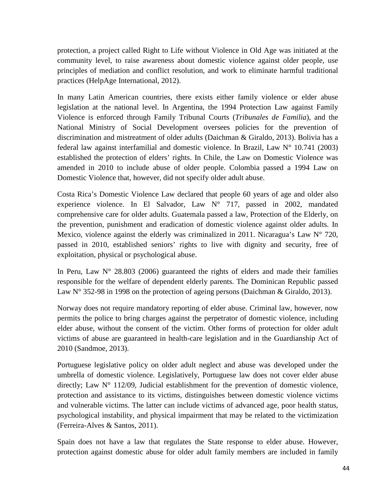protection, a project called Right to Life without Violence in Old Age was initiated at the community level, to raise awareness about domestic violence against older people, use principles of mediation and conflict resolution, and work to eliminate harmful traditional practices (HelpAge International, 2012).

In many Latin American countries, there exists either family violence or elder abuse legislation at the national level. In Argentina, the 1994 Protection Law against Family Violence is enforced through Family Tribunal Courts (*Tribunales de Familia*), and the National Ministry of Social Development oversees policies for the prevention of discrimination and mistreatment of older adults (Daichman & Giraldo, 2013). Bolivia has a federal law against interfamilial and domestic violence. In Brazil, Law  $N^{\circ}$  10.741 (2003) established the protection of elders' rights. In Chile, the Law on Domestic Violence was amended in 2010 to include abuse of older people. Colombia passed a 1994 Law on Domestic Violence that, however, did not specify older adult abuse.

Costa Rica's Domestic Violence Law declared that people 60 years of age and older also experience violence. In El Salvador, Law N° 717, passed in 2002, mandated comprehensive care for older adults. Guatemala passed a law, Protection of the Elderly, on the prevention, punishment and eradication of domestic violence against older adults. In Mexico, violence against the elderly was criminalized in 2011. Nicaragua's Law  $N^{\circ}$  720, passed in 2010, established seniors' rights to live with dignity and security, free of exploitation, physical or psychological abuse.

In Peru, Law  $N^{\circ}$  28.803 (2006) guaranteed the rights of elders and made their families responsible for the welfare of dependent elderly parents. The Dominican Republic passed Law N° 352-98 in 1998 on the protection of ageing persons (Daichman & Giraldo, 2013).

Norway does not require mandatory reporting of elder abuse. Criminal law, however, now permits the police to bring charges against the perpetrator of domestic violence, including elder abuse, without the consent of the victim. Other forms of protection for older adult victims of abuse are guaranteed in health-care legislation and in the Guardianship Act of 2010 (Sandmoe, 2013).

Portuguese legislative policy on older adult neglect and abuse was developed under the umbrella of domestic violence. Legislatively, Portuguese law does not cover elder abuse directly; Law  $N^{\circ}$  112/09, Judicial establishment for the prevention of domestic violence, protection and assistance to its victims, distinguishes between domestic violence victims and vulnerable victims. The latter can include victims of advanced age, poor health status, psychological instability, and physical impairment that may be related to the victimization (Ferreira-Alves & Santos, 2011).

Spain does not have a law that regulates the State response to elder abuse. However, protection against domestic abuse for older adult family members are included in family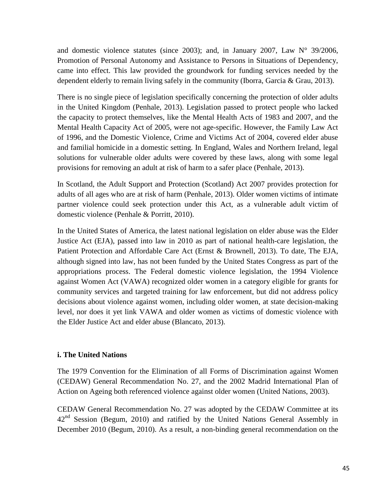and domestic violence statutes (since 2003); and, in January 2007, Law  $N^{\circ}$  39/2006, Promotion of Personal Autonomy and Assistance to Persons in Situations of Dependency, came into effect. This law provided the groundwork for funding services needed by the dependent elderly to remain living safely in the community (Iborra, Garcia & Grau, 2013).

There is no single piece of legislation specifically concerning the protection of older adults in the United Kingdom (Penhale, 2013). Legislation passed to protect people who lacked the capacity to protect themselves, like the Mental Health Acts of 1983 and 2007, and the Mental Health Capacity Act of 2005, were not age-specific. However, the Family Law Act of 1996, and the Domestic Violence, Crime and Victims Act of 2004, covered elder abuse and familial homicide in a domestic setting. In England, Wales and Northern Ireland, legal solutions for vulnerable older adults were covered by these laws, along with some legal provisions for removing an adult at risk of harm to a safer place (Penhale, 2013).

In Scotland, the Adult Support and Protection (Scotland) Act 2007 provides protection for adults of all ages who are at risk of harm (Penhale, 2013). Older women victims of intimate partner violence could seek protection under this Act, as a vulnerable adult victim of domestic violence (Penhale & Porritt, 2010).

In the United States of America, the latest national legislation on elder abuse was the Elder Justice Act (EJA), passed into law in 2010 as part of national health-care legislation, the Patient Protection and Affordable Care Act (Ernst & Brownell, 2013). To date, The EJA, although signed into law, has not been funded by the United States Congress as part of the appropriations process. The Federal domestic violence legislation, the 1994 Violence against Women Act (VAWA) recognized older women in a category eligible for grants for community services and targeted training for law enforcement, but did not address policy decisions about violence against women, including older women, at state decision-making level, nor does it yet link VAWA and older women as victims of domestic violence with the Elder Justice Act and elder abuse (Blancato, 2013).

#### **i. The United Nations**

The 1979 Convention for the Elimination of all Forms of Discrimination against Women (CEDAW) General Recommendation No. 27, and the 2002 Madrid International Plan of Action on Ageing both referenced violence against older women (United Nations, 2003).

CEDAW General Recommendation No. 27 was adopted by the CEDAW Committee at its  $42<sup>nd</sup>$  Session (Begum, 2010) and ratified by the United Nations General Assembly in December 2010 (Begum, 2010). As a result, a non-binding general recommendation on the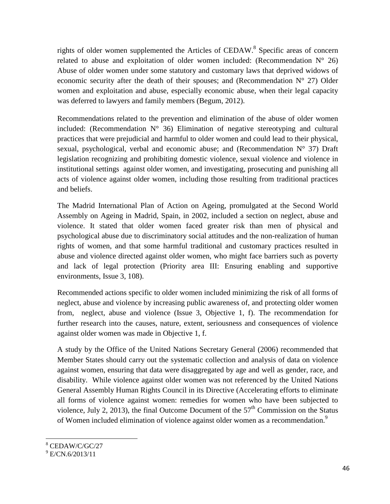rights of older women supplemented the Articles of CEDAW.<sup>8</sup> Specific areas of concern related to abuse and exploitation of older women included: (Recommendation  $N^{\circ}$  26) Abuse of older women under some statutory and customary laws that deprived widows of economic security after the death of their spouses; and (Recommendation  $N^{\circ}$  27) Older women and exploitation and abuse, especially economic abuse, when their legal capacity was deferred to lawyers and family members (Begum, 2012).

Recommendations related to the prevention and elimination of the abuse of older women included: (Recommendation  $N^{\circ}$  36) Elimination of negative stereotyping and cultural practices that were prejudicial and harmful to older women and could lead to their physical, sexual, psychological, verbal and economic abuse; and (Recommendation  $N^{\circ}$  37) Draft legislation recognizing and prohibiting domestic violence, sexual violence and violence in institutional settings against older women, and investigating, prosecuting and punishing all acts of violence against older women, including those resulting from traditional practices and beliefs.

The Madrid International Plan of Action on Ageing, promulgated at the Second World Assembly on Ageing in Madrid, Spain, in 2002, included a section on neglect, abuse and violence. It stated that older women faced greater risk than men of physical and psychological abuse due to discriminatory social attitudes and the non-realization of human rights of women, and that some harmful traditional and customary practices resulted in abuse and violence directed against older women, who might face barriers such as poverty and lack of legal protection (Priority area III: Ensuring enabling and supportive environments, Issue 3, 108).

Recommended actions specific to older women included minimizing the risk of all forms of neglect, abuse and violence by increasing public awareness of, and protecting older women from, neglect, abuse and violence (Issue 3, Objective 1, f). The recommendation for further research into the causes, nature, extent, seriousness and consequences of violence against older women was made in Objective 1, f.

A study by the Office of the United Nations Secretary General (2006) recommended that Member States should carry out the systematic collection and analysis of data on violence against women, ensuring that data were disaggregated by age and well as gender, race, and disability. While violence against older women was not referenced by the United Nations General Assembly Human Rights Council in its Directive (Accelerating efforts to eliminate all forms of violence against women: remedies for women who have been subjected to violence, July 2, 2013), the final Outcome Document of the  $57<sup>th</sup>$  Commission on the Status of Women included elimination of violence against older women as a recommendation.<sup>9</sup>

-

<sup>8</sup> CEDAW/C/GC/27

<sup>&</sup>lt;sup>9</sup> E/CN.6/2013/11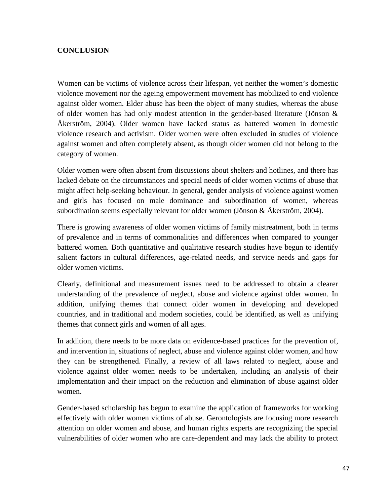#### **CONCLUSION**

Women can be victims of violence across their lifespan, yet neither the women's domestic violence movement nor the ageing empowerment movement has mobilized to end violence against older women. Elder abuse has been the object of many studies, whereas the abuse of older women has had only modest attention in the gender-based literature (Jönson & Åkerström, 2004). Older women have lacked status as battered women in domestic violence research and activism. Older women were often excluded in studies of violence against women and often completely absent, as though older women did not belong to the category of women.

Older women were often absent from discussions about shelters and hotlines, and there has lacked debate on the circumstances and special needs of older women victims of abuse that might affect help-seeking behaviour. In general, gender analysis of violence against women and girls has focused on male dominance and subordination of women, whereas subordination seems especially relevant for older women (Jönson & Åkerström, 2004).

There is growing awareness of older women victims of family mistreatment, both in terms of prevalence and in terms of commonalities and differences when compared to younger battered women. Both quantitative and qualitative research studies have begun to identify salient factors in cultural differences, age-related needs, and service needs and gaps for older women victims.

Clearly, definitional and measurement issues need to be addressed to obtain a clearer understanding of the prevalence of neglect, abuse and violence against older women. In addition, unifying themes that connect older women in developing and developed countries, and in traditional and modern societies, could be identified, as well as unifying themes that connect girls and women of all ages.

In addition, there needs to be more data on evidence-based practices for the prevention of, and intervention in, situations of neglect, abuse and violence against older women, and how they can be strengthened. Finally, a review of all laws related to neglect, abuse and violence against older women needs to be undertaken, including an analysis of their implementation and their impact on the reduction and elimination of abuse against older women.

Gender-based scholarship has begun to examine the application of frameworks for working effectively with older women victims of abuse. Gerontologists are focusing more research attention on older women and abuse, and human rights experts are recognizing the special vulnerabilities of older women who are care-dependent and may lack the ability to protect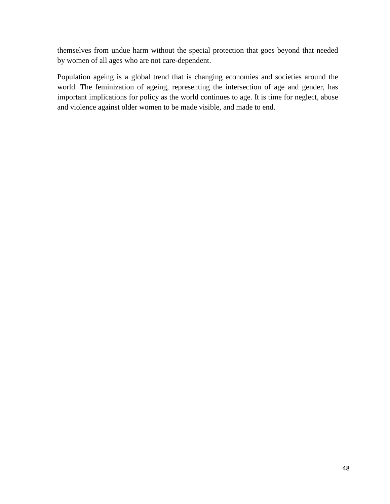themselves from undue harm without the special protection that goes beyond that needed by women of all ages who are not care-dependent.

Population ageing is a global trend that is changing economies and societies around the world. The feminization of ageing, representing the intersection of age and gender, has important implications for policy as the world continues to age. It is time for neglect, abuse and violence against older women to be made visible, and made to end.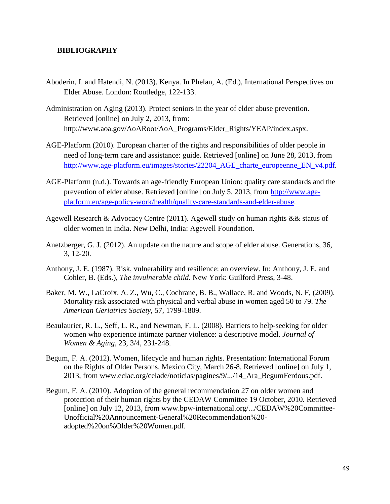#### **BIBLIOGRAPHY**

- Aboderin, I. and Hatendi, N. (2013). Kenya. In Phelan, A. (Ed.), International Perspectives on Elder Abuse. London: Routledge, 122-133.
- Administration on Aging (2013). Protect seniors in the year of elder abuse prevention. Retrieved [online] on July 2, 2013, from: http://www.aoa.gov/AoARoot/AoA\_Programs/Elder\_Rights/YEAP/index.aspx.
- AGE-Platform (2010). European charter of the rights and responsibilities of older people in need of long-term care and assistance: guide. Retrieved [online] on June 28, 2013, from http://www.age-platform.eu/images/stories/22204 AGE charte europeenne EN v4.pdf.
- AGE-Platform (n.d.). Towards an age-friendly European Union: quality care standards and the prevention of elder abuse. Retrieved [online] on July 5, 2013, from http://www.ageplatform.eu/age-policy-work/health/quality-care-standards-and-elder-abuse.
- Agewell Research & Advocacy Centre (2011). Agewell study on human rights && status of older women in India. New Delhi, India: Agewell Foundation.
- Anetzberger, G. J. (2012). An update on the nature and scope of elder abuse. Generations, 36, 3, 12-20.
- Anthony, J. E. (1987). Risk, vulnerability and resilience: an overview. In: Anthony, J. E. and Cohler, B. (Eds.), *The invulnerable child*. New York: Guilford Press, 3-48.
- Baker, M. W., LaCroix. A. Z., Wu, C., Cochrane, B. B., Wallace, R. and Woods, N. F, (2009). Mortality risk associated with physical and verbal abuse in women aged 50 to 79. *The American Geriatrics Society*, 57, 1799-1809.
- Beaulaurier, R. L., Seff, L. R., and Newman, F. L. (2008). Barriers to help-seeking for older women who experience intimate partner violence: a descriptive model. *Journal of Women & Aging*, 23, 3/4, 231-248.
- Begum, F. A. (2012). Women, lifecycle and human rights. Presentation: International Forum on the Rights of Older Persons, Mexico City, March 26-8. Retrieved [online] on July 1, 2013, from www.eclac.org/celade/noticias/pagines/9/.../14\_Ara\_BegumFerdous.pdf.
- Begum, F. A. (2010). Adoption of the general recommendation 27 on older women and protection of their human rights by the CEDAW Committee 19 October, 2010. Retrieved [online] on July 12, 2013, from www.bpw-international.org/.../CEDAW%20Committee-Unofficial%20Announcement-General%20Recommendation%20 adopted%20on%Older%20Women.pdf.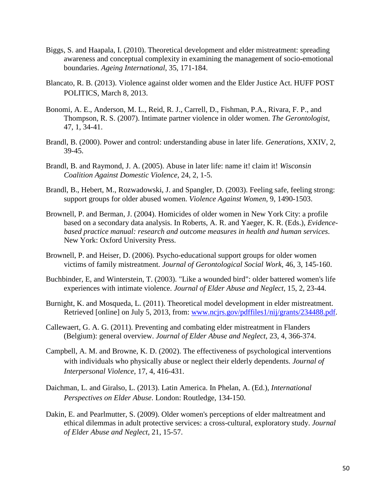- Biggs, S. and Haapala, I. (2010). Theoretical development and elder mistreatment: spreading awareness and conceptual complexity in examining the management of socio-emotional boundaries. *Ageing International*, 35, 171-184.
- Blancato, R. B. (2013). Violence against older women and the Elder Justice Act. HUFF POST POLITICS, March 8, 2013.
- Bonomi, A. E., Anderson, M. L., Reid, R. J., Carrell, D., Fishman, P.A., Rivara, F. P., and Thompson, R. S. (2007). Intimate partner violence in older women. *The Gerontologist*, 47, 1, 34-41.
- Brandl, B. (2000). Power and control: understanding abuse in later life. *Generations*, XXIV, 2, 39-45.
- Brandl, B. and Raymond, J. A. (2005). Abuse in later life: name it! claim it! *Wisconsin Coalition Against Domestic Violence*, 24, 2, 1-5.
- Brandl, B., Hebert, M., Rozwadowski, J. and Spangler, D. (2003). Feeling safe, feeling strong: support groups for older abused women. *Violence Against Women*, 9, 1490-1503.
- Brownell, P. and Berman, J. (2004). Homicides of older women in New York City: a profile based on a secondary data analysis. In Roberts, A. R. and Yaeger, K. R. (Eds.), *Evidencebased practice manual: research and outcome measures in health and human services*. New York: Oxford University Press.
- Brownell, P. and Heiser, D. (2006). Psycho-educational support groups for older women victims of family mistreatment. *Journal of Gerontological Social Work*, 46, 3, 145-160.
- Buchbinder, E, and Winterstein, T. (2003). "Like a wounded bird": older battered women's life experiences with intimate violence. *Journal of Elder Abuse and Neglect*, 15, 2, 23-44.
- Burnight, K. and Mosqueda, L. (2011). Theoretical model development in elder mistreatment. Retrieved [online] on July 5, 2013, from: www.ncjrs.gov/pdffiles1/nij/grants/234488.pdf.
- Callewaert, G. A. G. (2011). Preventing and combating elder mistreatment in Flanders (Belgium): general overview. *Journal of Elder Abuse and Neglect*, 23, 4, 366-374.
- Campbell, A. M. and Browne, K. D. (2002). The effectiveness of psychological interventions with individuals who physically abuse or neglect their elderly dependents. *Journal of Interpersonal Violence*, 17, 4, 416-431.
- Daichman, L. and Giralso, L. (2013). Latin America. In Phelan, A. (Ed.), *International Perspectives on Elder Abuse*. London: Routledge, 134-150.
- Dakin, E. and Pearlmutter, S. (2009). Older women's perceptions of elder maltreatment and ethical dilemmas in adult protective services: a cross-cultural, exploratory study. *Journal of Elder Abuse and Neglect*, 21, 15-57.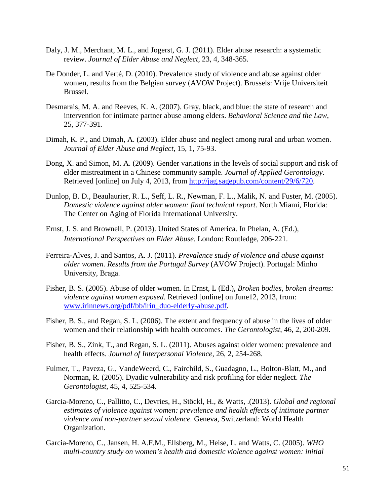- Daly, J. M., Merchant, M. L., and Jogerst, G. J. (2011). Elder abuse research: a systematic review. *Journal of Elder Abuse and Neglect*, 23, 4, 348-365.
- De Donder, L. and Verté, D. (2010). Prevalence study of violence and abuse against older women, results from the Belgian survey (AVOW Project). Brussels: Vrije Universiteit Brussel.
- Desmarais, M. A. and Reeves, K. A. (2007). Gray, black, and blue: the state of research and intervention for intimate partner abuse among elders. *Behavioral Science and the Law*, 25, 377-391.
- Dimah, K. P., and Dimah, A. (2003). Elder abuse and neglect among rural and urban women. *Journal of Elder Abuse and Neglect*, 15, 1, 75-93.
- Dong, X. and Simon, M. A. (2009). Gender variations in the levels of social support and risk of elder mistreatment in a Chinese community sample. *Journal of Applied Gerontology*. Retrieved [online] on July 4, 2013, from http://jag.sagepub.com/content/29/6/720.
- Dunlop, B. D., Beaulaurier, R. L., Seff, L. R., Newman, F. L., Malik, N. and Fuster, M. (2005). *Domestic violence against older women: final technical report*. North Miami, Florida: The Center on Aging of Florida International University.
- Ernst, J. S. and Brownell, P. (2013). United States of America. In Phelan, A. (Ed.), *International Perspectives on Elder Abuse*. London: Routledge, 206-221.
- Ferreira-Alves, J. and Santos, A. J. (2011). *Prevalence study of violence and abuse against older women. Results from the Portugal Survey* (AVOW Project). Portugal: Minho University, Braga.
- Fisher, B. S. (2005). Abuse of older women. In Ernst, L (Ed.), *Broken bodies, broken dreams: violence against women exposed*. Retrieved [online] on June12, 2013, from: www.irinnews.org/pdf/bb/irin\_duo-elderly-abuse.pdf.
- Fisher, B. S., and Regan, S. L. (2006). The extent and frequency of abuse in the lives of older women and their relationship with health outcomes. *The Gerontologist*, 46, 2, 200-209.
- Fisher, B. S., Zink, T., and Regan, S. L. (2011). Abuses against older women: prevalence and health effects. *Journal of Interpersonal Violence*, 26, 2, 254-268.
- Fulmer, T., Paveza, G., VandeWeerd, C., Fairchild, S., Guadagno, L., Bolton-Blatt, M., and Norman, R. (2005). Dyadic vulnerability and risk profiling for elder neglect. *The Gerontologist*, 45, 4, 525-534.
- Garcia-Moreno, C., Pallitto, C., Devries, H., Stöckl, H., & Watts, .(2013). *Global and regional estimates of violence against women: prevalence and health effects of intimate partner violence and non-partner sexual violence.* Geneva, Switzerland: World Health Organization.
- Garcia-Moreno, C., Jansen, H. A.F.M., Ellsberg, M., Heise, L. and Watts, C. (2005). *WHO multi-country study on women's health and domestic violence against women: initial*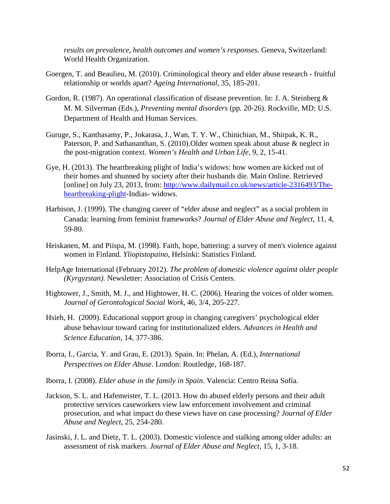*results on prevalence, health outcomes and women's responses*. Geneva, Switzerland: World Health Organization.

- Goergen, T. and Beaulieu, M. (2010). Criminological theory and elder abuse research fruitful relationship or worlds apart? *Ageing International*, 35, 185-201.
- Gordon, R. (1987). An operational classification of disease prevention. In: J. A. Steinberg & M. M. Silverman (Eds.), *Preventing mental disorders* (pp. 20-26). Rockville, MD: U.S. Department of Health and Human Services.
- Guruge, S., Kanthasamy, P., Jokarasa, J., Wan, T. Y. W., Chinichian, M., Shirpak, K. R., Paterson, P. and Sathananthan, S. (2010).Older women speak about abuse & neglect in the post-migration context. *Women's Health and Urban Life*, 9, 2, 15-41.
- Gye, H. (2013). The heartbreaking plight of India's widows: how women are kicked out of their homes and shunned by society after their husbands die. Main Online. Retrieved [online] on July 23, 2013, from: http://www.dailymail.co.uk/news/article-2316493/Theheartbreaking-plight-Indias- widows.
- Harbison, J. (1999). The changing career of "elder abuse and neglect" as a social problem in Canada: learning from feminist frameworks? *Journal of Elder Abuse and Neglect*, 11, 4, 59-80.
- Heiskanen, M. and Piispa, M. (1998). Faith, hope, battering: a survey of men's violence against women in Finland*. Yliopistopaino*, Helsinki: Statistics Finland.
- HelpAge International (February 2012). *The problem of domestic violence against older people (Kyrgyzstan)*. Newsletter: Association of Crisis Centers.
- Hightower, J., Smith, M. J., and Hightower, H. C. (2006). Hearing the voices of older women. *Journal of Gerontological Social Work*, 46, 3/4, 205-227.
- Hsieh, H. (2009). Educational support group in changing caregivers' psychological elder abuse behaviour toward caring for institutionalized elders. *Advances in Health and Science Education*, 14, 377-386.
- Iborra, I., Garcia, Y. and Grau, E. (2013). Spain. In: Phelan, A. (Ed.), *International Perspectives on Elder Abuse*. London: Routledge, 168-187.
- Iborra, I. (2008). *Elder abuse in the family in Spain*. Valencia: Centro Reina Sofía.
- Jackson, S. L. and Hafemeister, T. L. (2013. How do abused elderly persons and their adult protective services caseworkers view law enforcement involvement and criminal prosecution, and what impact do these views have on case processing? *Journal of Elder Abuse and Neglect*, 25, 254-280.
- Jasinski, J. L. and Dietz, T. L. (2003). Domestic violence and stalking among older adults: an assessment of risk markers*. Journal of Elder Abuse and Neglect*, 15, 1, 3-18.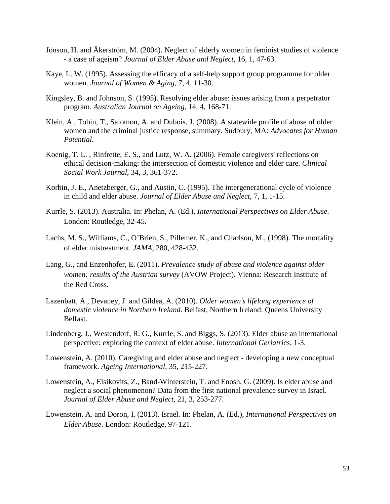- Jönson, H. and Åkerström, M. (2004). Neglect of elderly women in feminist studies of violence - a case of ageism? *Journal of Elder Abuse and Neglect*, 16, 1, 47-63.
- Kaye, L. W. (1995). Assessing the efficacy of a self-help support group programme for older women. *Journal of Women & Aging*, 7, 4, 11-30.
- Kingsley, B. and Johnson, S. (1995). Resolving elder abuse: issues arising from a perpetrator program. *Australian Journal on Ageing*, 14, 4, 168-71.
- Klein, A., Tobin, T., Salomon, A. and Dubois, J. (2008). A statewide profile of abuse of older women and the criminal justice response, summary. Sudbury, MA: *Advocates for Human Potential*.
- Koenig, T. L. , Rinfrette, E. S., and Lutz, W. A. (2006). Female caregivers' reflections on ethical decision-making: the intersection of domestic violence and elder care. *Clinical Social Work Journal*, 34, 3, 361-372.
- Korbin, J. E., Anetzberger, G., and Austin, C. (1995). The intergenerational cycle of violence in child and elder abuse. *Journal of Elder Abuse and Neglect*, 7, 1, 1-15.
- Kurrle, S. (2013). Australia. In: Phelan, A. (Ed.), *International Perspectives on Elder Abuse*. London: Routledge, 32-45.
- Lachs, M. S., Williams, C., O'Brien, S., Pillemer, K., and Charlson, M., (1998). The mortality of elder mistreatment. *JAMA*, 280, 428-432.
- Lang, G., and Enzenhofer, E. (2011). *Prevalence study of abuse and violence against older women: results of the Austrian survey* (AVOW Project). Vienna: Research Institute of the Red Cross.
- Lazenbatt, A., Devaney, J. and Gildea, A. (2010). *Older women's lifelong experience of domestic violence in Northern Ireland*. Belfast, Northern Ireland: Queens University Belfast.
- Lindenberg, J., Westendorf, R. G., Kurrle, S. and Biggs, S. (2013). Elder abuse an international perspective: exploring the context of elder abuse. *International Geriatrics*, 1-3.
- Lowenstein, A. (2010). Caregiving and elder abuse and neglect developing a new conceptual framework. *Ageing International*, 35, 215-227.
- Lowenstein, A., Eisikovits, Z., Band-Winterstein, T. and Enosh, G. (2009). Is elder abuse and neglect a social phenomenon? Data from the first national prevalence survey in Israel. *Journal of Elder Abuse and Neglect*, 21, 3, 253-277.
- Lowenstein, A. and Doron, I. (2013). Israel. In: Phelan, A. (Ed.), *International Perspectives on Elder Abuse*. London: Routledge, 97-121.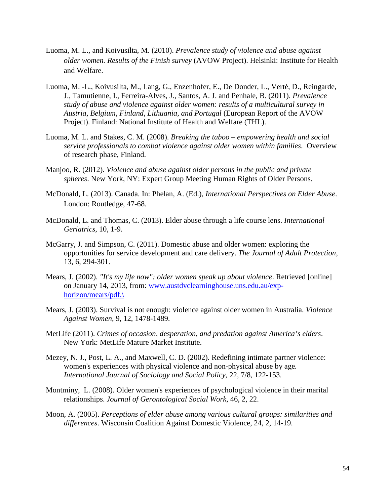- Luoma, M. L., and Koivusilta, M. (2010). *Prevalence study of violence and abuse against older women. Results of the Finish survey* (AVOW Project). Helsinki: Institute for Health and Welfare.
- Luoma, M. -L., Koivusilta, M., Lang, G., Enzenhofer, E., De Donder, L., Verté, D., Reingarde, J., Tamutienne, I., Ferreira-Alves, J., Santos, A. J. and Penhale, B. (2011). *Prevalence study of abuse and violence against older women: results of a multicultural survey in Austria, Belgium, Finland, Lithuania, and Portugal* (European Report of the AVOW Project). Finland: National Institute of Health and Welfare (THL).
- Luoma, M. L. and Stakes, C. M. (2008). *Breaking the taboo empowering health and social service professionals to combat violence against older women within families*. Overview of research phase, Finland.
- Manjoo, R. (2012). *Violence and abuse against older persons in the public and private spheres*. New York, NY: Expert Group Meeting Human Rights of Older Persons.
- McDonald, L. (2013). Canada. In: Phelan, A. (Ed.), *International Perspectives on Elder Abuse*. London: Routledge, 47-68.
- McDonald, L. and Thomas, C. (2013). Elder abuse through a life course lens. *International Geriatrics*, 10, 1-9.
- McGarry, J. and Simpson, C. (2011). Domestic abuse and older women: exploring the opportunities for service development and care delivery. *The Journal of Adult Protection*, 13, 6, 294-301.
- Mears, J. (2002). *"It's my life now": older women speak up about violence*. Retrieved [online] on January 14, 2013, from: www.austdvclearninghouse.uns.edu.au/exphorizon/mears/pdf.\
- Mears, J. (2003). Survival is not enough: violence against older women in Australia. *Violence Against Women*, 9, 12, 1478-1489.
- MetLife (2011). *Crimes of occasion, desperation, and predation against America's elders*. New York: MetLife Mature Market Institute.
- Mezey, N. J., Post, L. A., and Maxwell, C. D. (2002). Redefining intimate partner violence: women's experiences with physical violence and non-physical abuse by age*. International Journal of Sociology and Social Policy*, 22, 7/8, 122-153.
- Montminy, L. (2008). Older women's experiences of psychological violence in their marital relationships. *Journal of Gerontological Social Work*, 46, 2, 22.
- Moon, A. (2005). *Perceptions of elder abuse among various cultural groups: similarities and differences*. Wisconsin Coalition Against Domestic Violence, 24, 2, 14-19.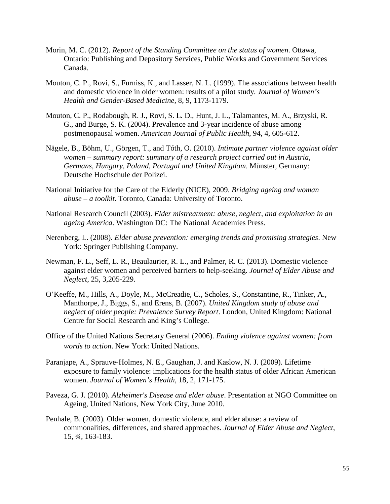- Morin, M. C. (2012). *Report of the Standing Committee on the status of women*. Ottawa, Ontario: Publishing and Depository Services, Public Works and Government Services Canada.
- Mouton, C. P., Rovi, S., Furniss, K., and Lasser, N. L. (1999). The associations between health and domestic violence in older women: results of a pilot study. *Journal of Women's Health and Gender-Based Medicine*, 8, 9, 1173-1179.
- Mouton, C. P., Rodabough, R. J., Rovi, S. L. D., Hunt, J. L., Talamantes, M. A., Brzyski, R. G., and Burge, S. K. (2004). Prevalence and 3-year incidence of abuse among postmenopausal women. *American Journal of Public Health*, 94, 4, 605-612.
- Nägele, B., Böhm, U., Görgen, T., and Tóth, O. (2010). *Intimate partner violence against older women – summary report: summary of a research project carried out in Austria, Germans, Hungary, Poland, Portugal and United Kingdom*. Münster, Germany: Deutsche Hochschule der Polizei.
- National Initiative for the Care of the Elderly (NICE), 2009. *Bridging ageing and woman abuse – a toolkit.* Toronto, Canada: University of Toronto.
- National Research Council (2003). *Elder mistreatment: abuse, neglect, and exploitation in an ageing America*. Washington DC: The National Academies Press.
- Nerenberg, L. (2008). *Elder abuse prevention: emerging trends and promising strategies*. New York: Springer Publishing Company.
- Newman, F. L., Seff, L. R., Beaulaurier, R. L., and Palmer, R. C. (2013). Domestic violence against elder women and perceived barriers to help-seeking*. Journal of Elder Abuse and Neglect*, 25, 3,205-229.
- O'Keeffe, M., Hills, A., Doyle, M., McCreadie, C., Scholes, S., Constantine, R., Tinker, A., Manthorpe, J., Biggs, S., and Erens, B. (2007). *United Kingdom study of abuse and neglect of older people: Prevalence Survey Report*. London, United Kingdom: National Centre for Social Research and King's College.
- Office of the United Nations Secretary General (2006). *Ending violence against women: from words to action*. New York: United Nations.
- Paranjape, A., Sprauve-Holmes, N. E., Gaughan, J. and Kaslow, N. J. (2009). Lifetime exposure to family violence: implications for the health status of older African American women. *Journal of Women's Health*, 18, 2, 171-175.
- Paveza, G. J. (2010). *Alzheimer's Disease and elder abuse*. Presentation at NGO Committee on Ageing, United Nations, New York City, June 2010.
- Penhale, B. (2003). Older women, domestic violence, and elder abuse: a review of commonalities, differences, and shared approaches. *Journal of Elder Abuse and Neglect*, 15, ¾, 163-183.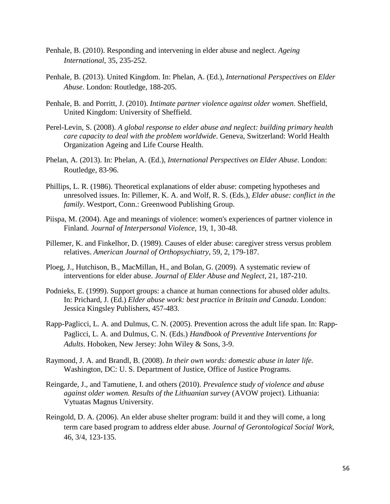- Penhale, B. (2010). Responding and intervening in elder abuse and neglect. *Ageing International*, 35, 235-252.
- Penhale, B. (2013). United Kingdom. In: Phelan, A. (Ed.), *International Perspectives on Elder Abuse*. London: Routledge, 188-205.
- Penhale, B. and Porritt, J. (2010). *Intimate partner violence against older women*. Sheffield, United Kingdom: University of Sheffield.
- Perel-Levin, S. (2008). *A global response to elder abuse and neglect: building primary health care capacity to deal with the problem worldwide*. Geneva, Switzerland: World Health Organization Ageing and Life Course Health.
- Phelan, A. (2013). In: Phelan, A. (Ed.), *International Perspectives on Elder Abuse*. London: Routledge, 83-96.
- Phillips, L. R. (1986). Theoretical explanations of elder abuse: competing hypotheses and unresolved issues. In: Pillemer, K. A. and Wolf, R. S. (Eds.), *Elder abuse: conflict in the family*. Westport, Conn.: Greenwood Publishing Group.
- Piispa, M. (2004). Age and meanings of violence: women's experiences of partner violence in Finland*. Journal of Interpersonal Violence*, 19, 1, 30-48.
- Pillemer, K. and Finkelhor, D. (1989). Causes of elder abuse: caregiver stress versus problem relatives. *American Journal of Orthopsychiatry*, 59, 2, 179-187.
- Ploeg, J., Hutchison, B., MacMillan, H., and Bolan, G. (2009). A systematic review of interventions for elder abuse. *Journal of Elder Abuse and Neglect*, 21, 187-210.
- Podnieks, E. (1999). Support groups: a chance at human connections for abused older adults. In: Prichard, J. (Ed.) *Elder abuse work: best practice in Britain and Canada*. London: Jessica Kingsley Publishers, 457-483.
- Rapp-Paglicci, L. A. and Dulmus, C. N. (2005). Prevention across the adult life span. In: Rapp-Paglicci, L. A. and Dulmus, C. N. (Eds.) *Handbook of Preventive Interventions for Adults*. Hoboken, New Jersey: John Wiley & Sons, 3-9.
- Raymond, J. A. and Brandl, B. (2008). *In their own words: domestic abuse in later life.* Washington, DC: U. S. Department of Justice, Office of Justice Programs.
- Reingarde, J., and Tamutiene, I. and others (2010). *Prevalence study of violence and abuse against older women. Results of the Lithuanian survey* (AVOW project). Lithuania: Vytuatas Magnus University.
- Reingold, D. A. (2006). An elder abuse shelter program: build it and they will come, a long term care based program to address elder abuse*. Journal of Gerontological Social Work*, 46, 3/4, 123-135.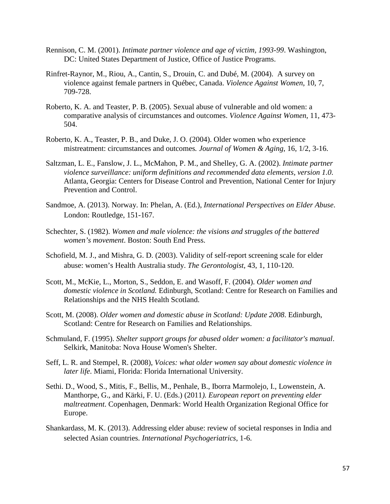- Rennison, C. M. (2001). *Intimate partner violence and age of victim, 1993-99*. Washington, DC: United States Department of Justice, Office of Justice Programs.
- Rinfret-Raynor, M., Riou, A., Cantin, S., Drouin, C. and Dubé, M. (2004). A survey on violence against female partners in Québec, Canada. *Violence Against Women*, 10, 7, 709-728.
- Roberto, K. A. and Teaster, P. B. (2005). Sexual abuse of vulnerable and old women: a comparative analysis of circumstances and outcomes. *Violence Against Women*, 11, 473- 504.
- Roberto, K. A., Teaster, P. B., and Duke, J. O. (2004). Older women who experience mistreatment: circumstances and outcomes*. Journal of Women & Aging*, 16, 1/2, 3-16.
- Saltzman, L. E., Fanslow, J. L., McMahon, P. M., and Shelley, G. A. (2002). *Intimate partner violence surveillance: uniform definitions and recommended data elements, version 1.0*. Atlanta, Georgia: Centers for Disease Control and Prevention, National Center for Injury Prevention and Control.
- Sandmoe, A. (2013). Norway. In: Phelan, A. (Ed.), *International Perspectives on Elder Abuse*. London: Routledge, 151-167.
- Schechter, S. (1982). *Women and male violence: the visions and struggles of the battered women's movement*. Boston: South End Press.
- Schofield, M. J., and Mishra, G. D. (2003). Validity of self-report screening scale for elder abuse: women's Health Australia study. *The Gerontologist*, 43, 1, 110-120.
- Scott, M., McKie, L., Morton, S., Seddon, E. and Wasoff, F. (2004). *Older women and domestic violence in Scotland.* Edinburgh, Scotland: Centre for Research on Families and Relationships and the NHS Health Scotland.
- Scott, M. (2008). *Older women and domestic abuse in Scotland: Update 2008*. Edinburgh, Scotland: Centre for Research on Families and Relationships.
- Schmuland, F. (1995). *Shelter support groups for abused older women: a facilitator's manual*. Selkirk, Manitoba: Nova House Women's Shelter.
- Seff, L. R. and Stempel, R. (2008), *Voices: what older women say about domestic violence in later life*. Miami, Florida: Florida International University.
- Sethi. D., Wood, S., Mitis, F., Bellis, M., Penhale, B., Iborra Marmolejo, I., Lowenstein, A. Manthorpe, G., and Kärki, F. U. (Eds.) (2011*). European report on preventing elder maltreatment*. Copenhagen, Denmark: World Health Organization Regional Office for Europe.
- Shankardass, M. K. (2013). Addressing elder abuse: review of societal responses in India and selected Asian countries. *International Psychogeriatrics*, 1-6.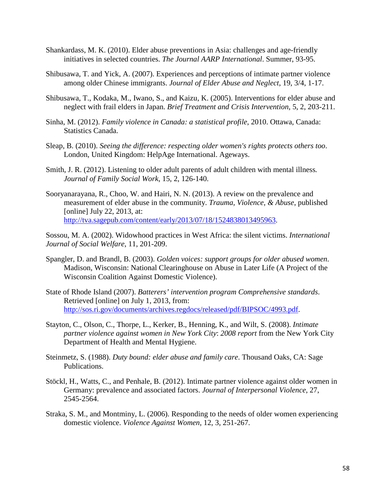- Shankardass, M. K. (2010). Elder abuse preventions in Asia: challenges and age-friendly initiatives in selected countries. *The Journal AARP International*. Summer, 93-95.
- Shibusawa, T. and Yick, A. (2007). Experiences and perceptions of intimate partner violence among older Chinese immigrants. *Journal of Elder Abuse and Neglect*, 19, 3/4, 1-17.
- Shibusawa, T., Kodaka, M., Iwano, S., and Kaizu, K. (2005). Interventions for elder abuse and neglect with frail elders in Japan. *Brief Treatment and Crisis Intervention*, 5, 2, 203-211.
- Sinha, M. (2012). *Family violence in Canada: a statistical profile*, 2010. Ottawa, Canada: Statistics Canada.
- Sleap, B. (2010). *Seeing the difference: respecting older women's rights protects others too*. London, United Kingdom: HelpAge International. Ageways.
- Smith, J. R. (2012). Listening to older adult parents of adult children with mental illness*. Journal of Family Social Work*, 15, 2, 126-140.
- Sooryanarayana, R., Choo, W. and Hairi, N. N. (2013). A review on the prevalence and measurement of elder abuse in the community. *Trauma, Violence, & Abuse*, published [online] July 22, 2013, at: http://tva.sagepub.com/content/early/2013/07/18/1524838013495963.

Sossou, M. A. (2002). Widowhood practices in West Africa: the silent victims. *International Journal of Social Welfare*, 11, 201-209.

- Spangler, D. and Brandl, B. (2003). *Golden voices: support groups for older abused women*. Madison, Wisconsin: National Clearinghouse on Abuse in Later Life (A Project of the Wisconsin Coalition Against Domestic Violence).
- State of Rhode Island (2007). *Batterers' intervention program Comprehensive standards*. Retrieved [online] on July 1, 2013, from: http://sos.ri.gov/documents/archives.regdocs/released/pdf/BIPSOC/4993.pdf.
- Stayton, C., Olson, C., Thorpe, L., Kerker, B., Henning, K., and Wilt, S. (2008). *Intimate partner violence against women in New York City*: *2008 report* from the New York City Department of Health and Mental Hygiene.
- Steinmetz, S. (1988). *Duty bound: elder abuse and family care*. Thousand Oaks, CA: Sage Publications.
- Stöckl, H., Watts, C., and Penhale, B. (2012). Intimate partner violence against older women in Germany: prevalence and associated factors. *Journal of Interpersonal Violence*, 27, 2545-2564.
- Straka, S. M., and Montminy, L. (2006). Responding to the needs of older women experiencing domestic violence. *Violence Against Women*, 12, 3, 251-267.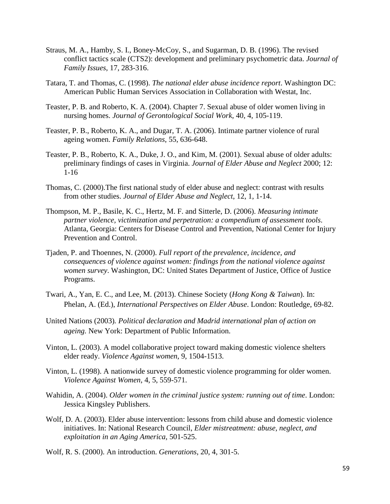- Straus, M. A., Hamby, S. I., Boney-McCoy, S., and Sugarman, D. B. (1996). The revised conflict tactics scale (CTS2): development and preliminary psychometric data. *Journal of Family Issues*, 17, 283-316.
- Tatara, T. and Thomas, C. (1998). *The national elder abuse incidence report*. Washington DC: American Public Human Services Association in Collaboration with Westat, Inc.
- Teaster, P. B. and Roberto, K. A. (2004). Chapter 7. Sexual abuse of older women living in nursing homes. *Journal of Gerontological Social Work*, 40, 4, 105-119.
- Teaster, P. B., Roberto, K. A., and Dugar, T. A. (2006). Intimate partner violence of rural ageing women. *Family Relations*, 55, 636-648.
- Teaster, P. B., Roberto, K. A., Duke, J. O., and Kim, M. (2001). Sexual abuse of older adults: preliminary findings of cases in Virginia. *Journal of Elder Abuse and Neglect* 2000; 12: 1-16
- Thomas, C. (2000).The first national study of elder abuse and neglect: contrast with results from other studies. *Journal of Elder Abuse and Neglect*, 12, 1, 1-14.
- Thompson, M. P., Basile, K. C., Hertz, M. F. and Sitterle, D. (2006). *Measuring intimate partner violence, victimization and perpetration: a compendium of assessment tools*. Atlanta, Georgia: Centers for Disease Control and Prevention, National Center for Injury Prevention and Control.
- Tjaden, P. and Thoennes, N. (2000). *Full report of the prevalence, incidence, and consequences of violence against women: findings from the national violence against women survey*. Washington, DC: United States Department of Justice, Office of Justice Programs.
- Twari, A., Yan, E. C., and Lee, M. (2013). Chinese Society (*Hong Kong & Taiwan*). In: Phelan, A. (Ed.), *International Perspectives on Elder Abuse*. London: Routledge, 69-82.
- United Nations (2003)*. Political declaration and Madrid international plan of action on ageing.* New York: Department of Public Information.
- Vinton, L. (2003). A model collaborative project toward making domestic violence shelters elder ready. *Violence Against women*, 9, 1504-1513.
- Vinton, L. (1998). A nationwide survey of domestic violence programming for older women. *Violence Against Women*, 4, 5, 559-571.
- Wahidin, A. (2004). *Older women in the criminal justice system: running out of time*. London: Jessica Kingsley Publishers.
- Wolf, D. A. (2003). Elder abuse intervention: lessons from child abuse and domestic violence initiatives. In: National Research Council, *Elder mistreatment: abuse, neglect, and exploitation in an Aging America*, 501-525.
- Wolf, R. S. (2000). An introduction. *Generations*, 20, 4, 301-5.